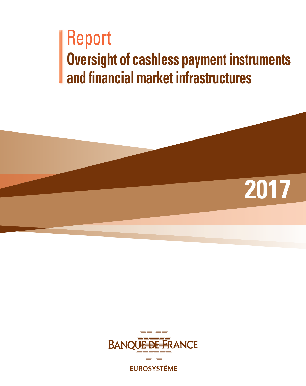# **Oversight of cashless payment instruments and financial market infrastructures** Report



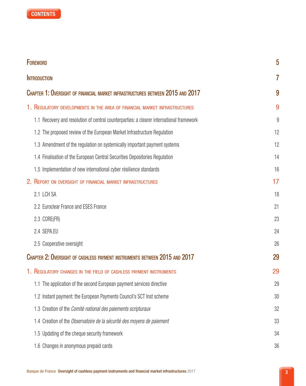

| <b>FOREWORD</b>                                                                          |                |  |
|------------------------------------------------------------------------------------------|----------------|--|
| <b>INTRODUCTION</b>                                                                      |                |  |
| CHAPTER 1: OVERSIGHT OF FINANCIAL MARKET INFRASTRUCTURES BETWEEN 2015 AND 2017           | 9              |  |
| 1. REGULATORY DEVELOPMENTS IN THE AREA OF FINANCIAL MARKET INFRASTRUCTURES               | 9              |  |
| 1.1 Recovery and resolution of central counterparties: a clearer international framework | $\overline{9}$ |  |
| 1.2 The proposed review of the European Market Infrastructure Regulation                 | 12             |  |
| 1.3 Amendment of the regulation on systemically important payment systems                | 12             |  |
| 1.4 Finalisation of the European Central Securities Depositories Regulation              | 14             |  |
| 1.5 Implementation of new international cyber résilience standards                       | 16             |  |
| 2. REPORT ON OVERSIGHT OF FINANCIAL MARKET INFRASTRUCTURES                               | 17             |  |
| 2.1 LCH SA                                                                               | 18             |  |
| 2.2 Euroclear France and ESES France                                                     | 21             |  |
| 2.3 CORE(FR)                                                                             | 23             |  |
| 2.4 SEPA.EU                                                                              | 24             |  |
| 2.5 Cooperative oversight                                                                | 26             |  |
| Chapter 2: Oversight of cashless payment instruments between 2015 and 2017               |                |  |
| 1. REGULATORY CHANGES IN THE FIELD OF CASHLESS PAYMENT INSTRUMENTS                       | 29             |  |
| 1.1 The application of the second European payment services directive                    | 29             |  |
| 1.2 Instant payment: the European Payments Council's SCT Inst scheme                     | 30             |  |
| 1.3 Creation of the Comité national des paiements scripturaux                            | 32             |  |
| 1.4 Creation of the Observatoire de la sécurité des moyens de paiement                   | 33             |  |
| 1.5 Updating of the cheque security framework                                            | 34             |  |
| 1.6 Changes in anonymous prepaid cards                                                   | 36             |  |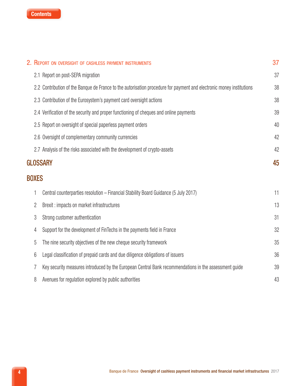

|                | 2. REPORT ON OVERSIGHT OF CASHLESS PAYMENT INSTRUMENTS                                                               | 37 |
|----------------|----------------------------------------------------------------------------------------------------------------------|----|
|                | 2.1 Report on post-SEPA migration                                                                                    | 37 |
|                | 2.2 Contribution of the Banque de France to the autorisation procedure for payment and electronic money institutions | 38 |
|                | 2.3 Contribution of the Eurosystem's payment card oversight actions                                                  | 38 |
|                | 2.4 Verification of the security and proper functioning of cheques and online payments                               | 39 |
|                | 2.5 Report on oversight of special paperless payment orders                                                          | 40 |
|                | 2.6 Oversight of complementary community currencies                                                                  | 42 |
|                | 2.7 Analysis of the risks associated with the development of crypto-assets                                           | 42 |
|                | <b>GLOSSARY</b>                                                                                                      | 45 |
| <b>BOXES</b>   |                                                                                                                      |    |
| 1              | Central counterparties resolution - Financial Stability Board Guidance (5 July 2017)                                 | 11 |
| $\overline{c}$ | Brexit: impacts on market infrastructures                                                                            | 13 |
| 3              | Strong customer authentication                                                                                       | 31 |
| 4              | Support for the development of FinTechs in the payments field in France                                              | 32 |
| 5              | The nine security objectives of the new cheque security framework                                                    | 35 |
| 6              | Legal classification of prepaid cards and due diligence obligations of issuers                                       | 36 |
| 7              | Key security measures introduced by the European Central Bank recommendations in the assessment guide                | 39 |
| 8              | Avenues for regulation explored by public authorities                                                                | 43 |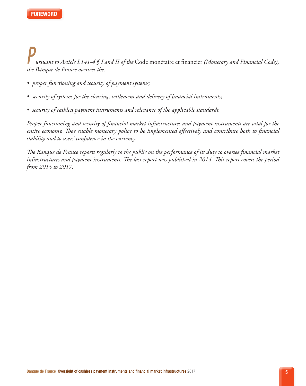*ursuant to Article L141-4 § I and II of the* Code monétaire et financier *(Monetary and Financial Code), the Banque de France oversees the: P*

- *• proper functioning and security of payment systems;*
- *• security of systems for the clearing, settlement and delivery of financial instruments;*
- *• security of cashless payment instruments and relevance of the applicable standards.*

*Proper functioning and security of financial market infrastructures and payment instruments are vital for the entire economy. They enable monetary policy to be implemented effectively and contribute both to financial stability and to users' confidence in the currency.* 

*The Banque de France reports regularly to the public on the performance of its duty to oversee financial market infrastructures and payment instruments. The last report was published in 2014. This report covers the period from 2015 to 2017.*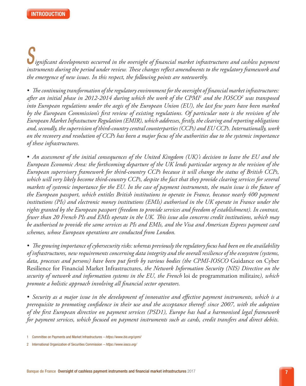*ignificant developments occurred in the oversight of financial market infrastructures and cashless payment instruments during the period under review. These changes reflect amendments to the regulatory framework and the emergence of new issues. In this respect, the following points are noteworthy. S*

*• The continuing transformation of the regulatory environment for the oversight of financial market infrastructures: after an initial phase in 2012-2014 during which the work of the CPMI1 and the IOSCO2 was transposed into European regulations under the aegis of the European Union (EU), the last few years have been marked by the European Commission's first review of existing regulations. Of particular note is the revision of the European Market Infrastucture Regulation (EMIR), which addresses, firstly, the clearing and reporting obligations and, secondly, the supervision of third-country central counterparties (CCPs) and EU CCPs. Internationally, work on the recovery and resolution of CCPs has been a major focus of the authorities due to the systemic importance of these infrastructures.*

*• An assessment of the initial consequences of the United Kingdom (UK)'s decision to leave the EU and the European Economic Area: the forthcoming departure of the UK lends particular urgency to the revision of the European supervisory framework for third-country CCPs because it will change the status of British CCPs, which will very likely become third-country CCPs, despite the fact that they provide clearing services for several markets of systemic importance for the EU. In the case of payment instruments, the main issue is the future of the European passport, which entitles British institutions to operate in France, because nearly 400 payment institutions (PIs) and electronic money institutions (EMIs) authorised in the UK operate in France under the rights granted by the European passport (freedom to provide services and freedom of establishment). In contrast, fewer than 20 French PIs and EMIs operate in the UK. This issue also concerns credit institutions, which may be authorised to provide the same services as PIs and EMIs, and the Visa and American Express payment card schemes, whose European operations are conducted from London.*

*• The growing importance of cybersecurity risks: whereas previously the regulatory focus had been on the availability of infrastructures, new requirements concerning data integrity and the overall resilience of the ecosystem (systems, data, processes and persons) have been put forth by various bodies (the CPMI-IOSCO* Guidance on Cyber Resilience for Financial Market Infrastructures, *the Network Information Security (NIS) Directive on the security of network and information systems in the EU, the French* loi de programmation militaire*), which promote a holistic approach involving all financial sector operators.*

*• Security as a major issue in the development of innovative and effective payment instruments, which is a prerequisite to promoting confidence in their use and the acceptance thereof: since 2007, with the adoption of the first European directive on payment services (PSD1), Europe has had a harmonised legal framework for payment services, which focused on payment instruments such as cards, credit transfers and direct debits.* 

<sup>1</sup> Committee on Payments and Market Infrastructures *– https://www.bis.org/cpmi/*

<sup>2</sup> International Organization of Securities Commission *– https://www.iosco.org/*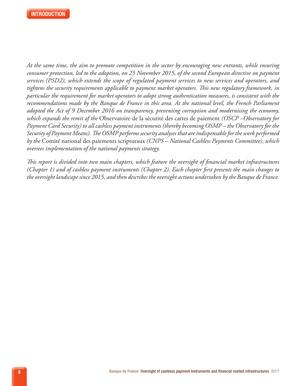

*At the same time, the aim to promote competition in the sector by encouraging new entrants, while ensuring consumer protection, led to the adoption, on 25 November 2015, of the second European directive on payment services (PSD2), which extends the scope of regulated payment services to new services and operators, and tightens the security requirements applicable to payment market operators. This new regulatory framework, in particular the requirement for market operators to adopt strong authentication measures, is consistent with the recommendations made by the Banque de France in this area. At the national level, the French Parliament adopted the Act of 9 December 2016 on transparency, preventing corruption and modernising the economy, which expands the remit of the* Observatoire de la sécurité des cartes de paiement *(OSCP –Observatory for Payment Card Security) to all cashless payment instruments (thereby becoming OSMP – the Observatory for the Security of Payment Means). The OSMP performs security analyses that are indispensable for the work performed by the* Comité national des paiements scripturaux *(CNPS – National Cashless Payments Committee), which oversees implementation of the national payments strategy.*

*This report is divided into two main chapters, which feature the oversight of financial market infrastructures (Chapter 1) and of cashless payment instruments (Chapter 2). Each chapter first presents the main changes to the oversight landscape since 2015, and then describes the oversight actions undertaken by the Banque de France.*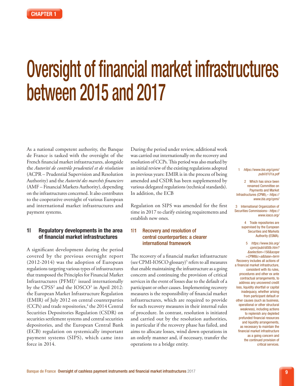# Oversight of financial market infrastructures between 2015 and 2017

As a national competent authority, the Banque de France is tasked with the oversight of the French financial market infrastructures, alongside the *Autorité de contrôle prudentiel et de résolution* (ACPR – Prudential Supervision and Resolution Authority) and the *Autorité des marchés financiers* (AMF – Financial Markets Authority), depending on the infrastructures concerned. It also contributes to the cooperative oversight of various European and international market infrastructures and payment systems.

# 1| Regulatory developments in the area of financial market infrastructures

A significant development during the period covered by the previous oversight report (2012‑2014) was the adoption of European regulations targeting various types of infrastructures that transposed the Principles for Financial Market Infrastructures (PFMI)1 issued internationally by the  $C P S S<sup>2</sup>$  and the  $I O S C O<sup>3</sup>$  in April 2012: the European Market Infrastructure Regulation (EMIR) of July 2012 on central counterparties  $(CCPs)$  and trade repositories, $4$  the 2014 Central Securities Depositories Regulation (CSDR) on securities settlement systems and central securities depositories, and the European Central Bank (ECB) regulation on systemically important payment systems (SIPS), which came into force in 2014.

During the period under review, additional work was carried out internationally on the recovery and resolution of CCPs. This period was also marked by an initial review of the existing regulations adopted in previous years: EMIR is in the process of being amended and CSDR has been supplemented by various delegated regulations (technical standards). In addition, the ECB

Regulation on SIPS was amended for the first time in 2017 to clarify existing requirements and establish new ones.

#### 1<sup>1</sup> Recovery and resolution of central counterparties: a clearer international framework

The recovery of a financial market infrastructure (see CPMI‑IOSCO glossary)5 refers to all measures that enable maintaining the infrastructure as a going concern and continuing the provision of critical services in the event of losses due to the default of a participant or other causes. Implementing recovery measures is the responsibility of financial market infrastructures, which are required to provide for such recovery measures in their internal rules of procedure. In contrast, resolution is initiated and carried out by the resolution authorities, in particular if the recovery phase has failed, and aims to allocate losses, wind down operations in an orderly manner and, if necessary, transfer the operations to a bridge entity.

#### 1 *[https://www.bis.org/cpmi/](https://www.bis.org/cpmi/publ/d101a.pdf) [publ/d101a.pdf](https://www.bis.org/cpmi/publ/d101a.pdf)*

2 Which has since been renamed Committee on Payments and Market Infrastructures (CPMI),– *[https://](https://www.bis.org/cpmi/) [www.bis.org/cpmi/](https://www.bis.org/cpmi/)*

3 International Organization of Securities Commissions– *[https://](https://www.iosco.org/) [www.iosco.org/](https://www.iosco.org/)*

> 4 Trade repositories are supervised by the European Securities and Markets Authority (ESMA).

5 *[https://www.bis.org/](https://www.bis.org/cpmi/publ/d00b.htm?&selection=156&scope=CPMI&c=a&base=term) [cpmi/publ/d00b.htm?](https://www.bis.org/cpmi/publ/d00b.htm?&selection=156&scope=CPMI&c=a&base=term) [&selection=156&scope](https://www.bis.org/cpmi/publ/d00b.htm?&selection=156&scope=CPMI&c=a&base=term) [=CPMI&c=a&base=term](https://www.bis.org/cpmi/publ/d00b.htm?&selection=156&scope=CPMI&c=a&base=term)* Recovery includes all actions of a financial market infrastructure, consistent with its rules, procedures and other ex ante contractual arrangements, to address any uncovered credit loss, liquidity shortfall or capital inadequacy, whether arising from participant default or other causes (such as business, operational or other structural weakness), including actions to replenish any depleted prefunded financial resources and liquidity arrangements, as necessary to maintain the financial market infrastructure as a going concern and the continued provision of critical services.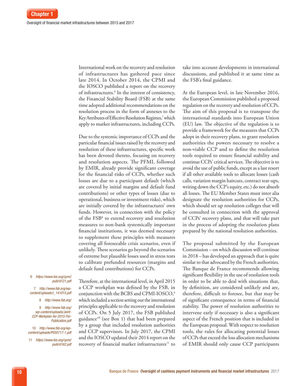International work on the recovery and resolution of infrastructures has gathered pace since late 2014. In October 2014, the CPMI and the IOSCO published a report on the recovery of infrastructures.6 In the interest of consistency, the Financial Stability Board (FSB) at the same time adopted additional recommendations on the resolution process in the form of annexes to the Key Attributes of Effective Resolution Regimes,7 which apply to market infrastructures, including CCPs.

Due to the systemic importance of CCPs and the particular financial issues raised by the recovery and resolution of these infrastructures, specific work has been devoted thereto, focusing on recovery and resolution aspects. The PFMI, followed by EMIR, already provide significant coverage for the financial risks of CCPs, whether such losses are due to a participant default (which are covered by initial margins and default fund contributions) or other types of losses (due to operational, business or investment risks), which are initially covered by the infrastructures' own funds. However, in connection with the policy of the FSB8 to extend recovery and resolution measures to non‑bank systemically important financial institutions, it was deemed necessary to supplement these principles with measures covering all foreseeable crisis scenarios, even if unlikely. These scenarios go beyond the scenarios of extreme but plausible losses used in stress tests to calibrate prefunded resources (margins and

default fund contributions) for CCPs. Therefore, at the international level, in April 2015 a CCP workplan was defined by the FSB, in conjunction with the BCBS and CPMI-IOSCO,<sup>9</sup>

which included a section setting out the international principles applicable to the recovery and resolution of CCPs. On 5 July 2017, the FSB published guidance10 (see Box 1) that had been prepared by a group that included resolution authorities and CCP supervisors. In July 2017, the CPMI and the IOSCO updated their 2014 report on the recovery of financial market infrastructures<sup>11</sup> to take into account developments in international discussions, and published it at same time as the FSB's final guidance.

At the European level, in late November 2016, the European Commission published a proposed regulation on the recovery and resolution of CCPs. The aim of this proposal is to transpose the international standards into European Union (EU) law. The objective of the regulation is to provide a framework for the measures that CCPs adopt in their recovery plans, to grant resolution authorities the powers necessary to resolve a non‑viable CCP and to define the resolution tools required to ensure financial stability and continue CCPs' critical services. The objective is to avoid the use of public funds, except as a last resort if all other available tools to allocate losses (cash calls, variation margin haircuts, contract tear-ups, writing down the CCP's equity, etc.) do not absorb all losses. The EU Member States must inter alia designate the resolution authorities for CCPs, which should set up resolution colleges that will be consulted in connection with the approval of CCPs' recovery plans, and that will take part in the process of adopting the resolution plans prepared by the national resolution authorities.

The proposal submitted by the European Commission – on which discussion will continue in 2018 – has developed an approach that is quite similar to that advocated by the French authorities. The Banque de France recommends allowing significant flexibility in the use of resolution tools in order to be able to deal with situations that, by definition, are considered unlikely and are, therefore, difficult to foresee, but that may be of significant consequence in terms of financial stability. The power of resolution authorities to intervene early if necessary is also a significant aspect of the French position that is included in the European proposal. With respect to resolution tools, the rules for allocating potential losses of CCPs that exceed the loss allocation mechanisms of EMIR should only cause CCP participants

#### 6 *[https://www.bis.org/cpmi/](https://www.bis.org/cpmi/publ/d121.pdf) [publ/d121.pdf](https://www.bis.org/cpmi/publ/d121.pdf)*

7 *[http://www.fsb.org/wp](http://www.fsb.org/wp-content/uploads/r_141015.pdf)[content/uploads/r\\_141015.pdf](http://www.fsb.org/wp-content/uploads/r_141015.pdf)*

8 *<http://www.fsb.org/>*

9 *[http://www.fsb.org/](http://www.fsb.org/wp-content/uploads/Joint-CCP-Workplan-for-2015-For-Publication.pdf) [wp-content/uploads/Joint-](http://www.fsb.org/wp-content/uploads/Joint-CCP-Workplan-for-2015-For-Publication.pdf)[CCP-Workplan-for-2015-For-](http://www.fsb.org/wp-content/uploads/Joint-CCP-Workplan-for-2015-For-Publication.pdf)[Publication.pdf](http://www.fsb.org/wp-content/uploads/Joint-CCP-Workplan-for-2015-For-Publication.pdf)*

10 *[http://www.fsb.org/wp](http://www.fsb.org/wp-content/uploads/P050717-1.pdf)[content/uploads/P050717-1.pdf](http://www.fsb.org/wp-content/uploads/P050717-1.pdf)*

11 *[https://www.bis.org/cpmi/](https://www.bis.org/cpmi/publ/d162.pdf) [publ/d162.pdf](https://www.bis.org/cpmi/publ/d162.pdf)*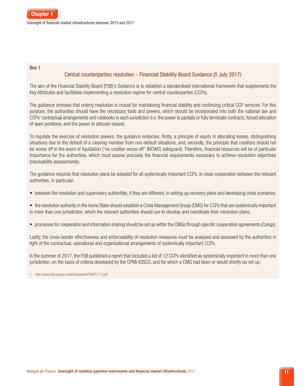Oversight of financial market infrastructures between 2015 and 2017

#### Box 1

# Central counterparties resolution – Financial Stability Board Guidance (5 July 2017)

The aim of the Financial Stability Board (FSB)'s Guidance is to establish a standardised international framework that supplements the Key Attributes and facilitates implementing a resolution regime for central counterparties (CCPs).

The guidance stresses that orderly resolution is crucial for maintaining financial stability and continuing critical CCP services. For this purpose, the authorities should have the necessary tools and powers, which should be incorporated into both the national law and CCPs' contractual arrangements and rulebooks in each jurisdiction (i.e. the power to partially or fully terminate contracts, forced allocation of open positions, and the power to allocate losses).

To regulate the exercise of resolution powers, the guidance endorses, firstly, a principle of equity in allocating losses, distinguishing situations due to the default of a clearing member from non-default situations, and, secondly, the principle that creditors should not be worse off in the event of liquidation ("no creditor worse off" (NCWO) safeguard). Therefore, financial resources will be of particular importance for the authorities, which must assess precisely the financial requirements necessary to achieve resolution objectives (resolvability assessments).

The guidance requires that resolution plans be adopted for all systemically important CCPs, in close cooperation between the relevant authorities, in particular:

- between the resolution and supervisory authorities, if they are different, in setting up recovery plans and developing crisis scenarios;
- the resolution authority in the home State should establish a Crisis Management Group (CMG) for CCPs that are systemically important in more than one jurisdiction, which the relevant authorities should use to develop and coordinate their resolution plans;
- processes for cooperation and information sharing should be set up within the CMGs through specific cooperation agreements (CoAgs).

Lastly, the cross-border effectiveness and enforceability of resolution measures must be analysed and assessed by the authorities in light of the contractual, operational and organisational arrangements of systemically important CCPs.

In the summer of 2017, the FSB published a report that included a list of 12 CCPs identified as systemically important in more than one jurisdiction, on the basis of criteria developed by the CPMI-IOSCO, and for which a CMG had been or would shortly be set up.

1 *http://www.fsb.org/wp-content/uploads/P050717-3.pdf*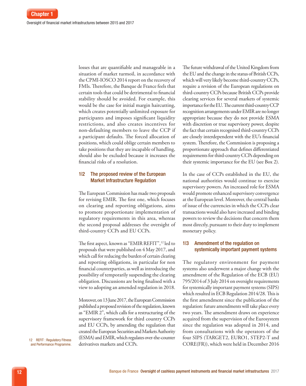losses that are quantifiable and manageable in a situation of market turmoil, in accordance with the CPMI‑IOSCO 2014 report on the recovery of FMIs. Therefore, the Banque de France feels that certain tools that could be detrimental to financial stability should be avoided. For example, this would be the case for initial margin haircutting, which creates potentially unlimited exposure for participants and imposes significant liquidity restrictions, and also creates incentives for non‑defaulting members to leave the CCP if a participant defaults. The forced allocation of positions, which could oblige certain members to take positions that they are incapable of handling, should also be excluded because it increases the financial risks of a resolution.

#### 1|2 The proposed review of the European Market Infrastructure Regulation

The European Commission has made two proposals for revising EMIR. The first one, which focuses on clearing and reporting obligations, aims to promote proportionate implementation of regulatory requirements in this area, whereas the second proposal addresses the oversight of third‑country CCPs and EU CCPs.

The first aspect, known as "EMIR REFIT",<sup>12</sup> led to proposals that were published on 4 May 2017, and which call for reducing the burden of certain clearing and reporting obligations, in particular for non financial counterparties, as well as introducing the possibility of temporarily suspending the clearing obligation. Discussions are being finalised with a view to adopting an amended regulation in 2018.

Moreover, on 13 June 2017, the European Commission published a proposed revision of the regulation, known as "EMIR 2", which calls for a restructuring of the supervisory framework for third country CCPs and EU CCPs, by amending the regulation that created the European Securities and Markets Authority (ESMA) and EMIR, which regulates over-the-counter derivatives markets and CCPs.

The future withdrawal of the United Kingdom from the EU and the change in the status of British CCPs, which will very likely become third-country CCPs, require a revision of the European regulations on third‑country CCPs because British CCPs provide clearing services for several markets of systemic importance for the EU. The current third‑country CCP recognition arrangements under EMIR are no longer appropriate because they do not provide ESMA with discretion or true supervisory power, despite the fact that certain recognised third‑country CCPs are closely interdependent with the EU's financial system. Therefore, the Commission is proposing a proportionate approach that defines differentiated requirements for third‑country CCPs depending on their systemic importance for the EU (see Box 2).

In the case of CCPs established in the EU, the national authorities would continue to exercise supervisory powers. An increased role for ESMA would promote enhanced supervisory convergence at the European level. Moreover, the central banks of issue of the currencies in which the CCPs clear transactions would also have increased and binding powers to review the decisions that concern them most directly, pursuant to their duty to implement monetary policy.

#### 1|3 Amendment of the regulation on systemically important payment systems

The regulatory environment for payment systems also underwent a major change with the amendment of the Regulation of the ECB (EU) 795/2014 of 3 July 2014 on oversight requirements for systemically important payment systems (SIPS) which resulted in ECB Regulation 2014/28. This is the first amendment since the publication of the regulation: future amendments will take place every two years. The amendment draws on experience acquired from the supervision of the Eurosystem since the regulation was adopted in 2014, and from consultations with the operators of the four SIPS (TARGET2, EURO1, STEP2‑T and CORE(FR)), which were held in December 2016

12 REFIT : Regulatory Fitness and Performance Programme.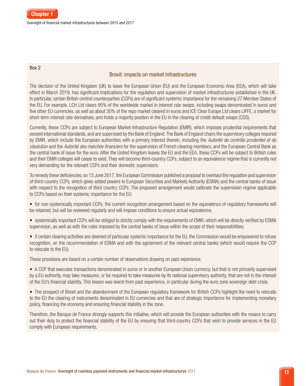#### Box 2

# Brexit: impacts on market infrastructures

The decision of the United Kingdom (UK) to leave the European Union (EU) and the European Economic Area (EEA), which will take effect in March 2019, has significant implications for the regulation and supervision of market infrastructures established in the UK. In particular, certain British central counterparties (CCPs) are of significant systemic importance for the remaining 27 Member States of the EU. For example, LCH Ltd clears 95% of the worldwide market in interest rate swaps, including swaps denominated in euros and five other EU currencies, as well as about 30% of the repo market cleared in euros and ICE Clear Europe Ltd clears LIFFE, a market for short-term interest rate derivatives, and holds a majority position in the EU in the clearing of credit default swaps (CDS).

Currently, these CCPs are subject to European Market Infrastructure Regulation (EMIR), which imposes prudential requirements that exceed international standards, and are supervised by the Bank of England. The Bank of England chairs the supervisory colleges required by EMIR, which include the European authorities with a primary interest therein, including the *Autorité de contrôle prudentiel et de résolution* and the *Autorité des marchés financiers* for the supervision of French clearing members, and the European Central Bank as the central bank of issue for the euro. After the United Kingdom leaves the EU and the EEA, these CCPs will be subject to British rules and their EMIR colleges will cease to exist. They will become third‑country CCPs, subject to an equivalence regime that is currently not very demanding for the relevant CCPs and their domestic supervisors.

To remedy these deficiencies, on 13 June 2017, the European Commission published a proposal to overhaul the regulation and supervision of third‑country CCPs, which gives added powers to European Securities and Markets Authority (ESMA) and the central banks of issue with respect to the recognition of third country CCPs. The proposed arrangement would calibrate the supervision regime applicable to CCPs based on their systemic importance for the EU:

- for non-systemically important CCPs, the current recognition arrangement based on the equivalence of regulatory frameworks will be retained, but will be reviewed regularly and will impose conditions to ensure actual equivalence;
- systemically important CCPs will be obliged to strictly comply with the requirements of EMIR, which will be directly verified by ESMA supervision, as well as with the rules imposed by the central banks of issue within the scope of their responsibilities;
- if certain clearing activities are deemed of particular systemic importance for the EU, the Commission would be empowered to refuse recognition, on the recommendation of ESMA and with the agreement of the relevant central banks (which would require the CCP to relocate to the EU).

These provisions are based on a certain number of observations drawing on past experience.

• A CCP that executes transactions denominated in euros or in another European Union currency, but that is not primarily supervised by a EU authority, may take measures, or be required to take measures by its national supervisory authority, that are not in the interest of the EU's financial stability. This lesson was learnt from past experience, in particular during the euro zone sovereign debt crisis.

• The prospect of Brexit and the abandonment of the European regulatory framework for British CCPs highlight the need to relocate to the EU the clearing of instruments denominated in EU currencies and that are of strategic importance for implementing monetary policy, financing the economy and ensuring financial stability in the zone.

Therefore, the Banque de France strongly supports this initiative, which will provide the European authorities with the means to carry out their duty to protect the financial stability of the EU by ensuring that third-country CCPs that wish to provide services in the EU comply with European requirements.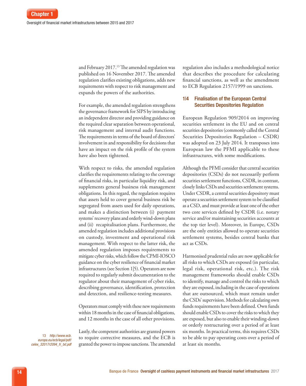and February 2017.<sup>13</sup> The amended regulation was published on 16 November 2017. The amended regulation clarifies existing obligations, adds new requirements with respect to risk management and expands the powers of the authorities.

For example, the amended regulation strengthens the governance framework for SIPS by introducing an independent director and providing guidance on the required clear separation between operational, risk management and internal audit functions. The requirements in terms of the board of directors' involvement in and responsibility for decisions that have an impact on the risk profile of the system have also been tightened.

With respect to risks, the amended regulation clarifies the requirements relating to the coverage of financial risks, in particular liquidity risk, and supplements general business risk management obligations. In this regard, the regulation requires that assets held to cover general business risk be segregated from assets used for daily operations, and makes a distinction between (i) payment systems' recovery plans and orderly wind‑down plans and (ii) recapitalisation plans. Furthermore, the amended regulation includes additional provisions on custody, investment and operational risk management. With respect to the latter risk, the amended regulation imposes requirements to mitigate cyber risks, which follow the CPMI‑IOSCO guidance on the cyber resilience of financial market infrastructures (see Section 1|5). Operators are now required to regularly submit documentation to the regulator about their management of cyber risks, describing governance, identification, protection and detection, and resilience-testing measures.

Operators must comply with these new requirements within 18 months in the case of financial obligations, and 12 months in the case of all other provisions.

Lastly, the competent authorities are granted powers to require corrective measures, and the ECB is granted the power to impose sanctions. The amended regulation also includes a methodological notice that describes the procedure for calculating financial sanctions, as well as the amendment to ECB Regulation 2157/1999 on sanctions.

# 1|4 Finalisation of the European Central Securities Depositories Regulation

European Regulation 909/2014 on improving securities settlement in the EU and on central securities depositories (commonly called the Central Securities Depositories Regulation – CSDR) was adopted on 23 July 2014. It transposes into European law the PFMI applicable to these infrastructures, with some modifications.

Although the PFMI consider that central securities depositories (CSDs) do not necessarily perform securities settlement functions, CSDR, in contrast, closely links CSDs and securities settlement systems. Under CSDR, a central securities depository must operate a securities settlement system to be classified as a CSD, and must provide at least one of the other two core services defined by CSDR (i.e. notary service and/or maintaining securities accounts at the top tier level). Moreover, in Europe, CSDs are the only entities allowed to operate securities settlement systems, besides central banks that act as CSDs.

Harmonised prudential rules are now applicable for all risks to which CSDs are exposed (in particular, legal risk, operational risk, etc.). The risk management frameworks should enable CSDs to identify, manage and control the risks to which they are exposed, including in the case of operations that are outsourced, which must remain under the CSDs' supervision. Methods for calculating own funds requirements have been defined. Own funds should enable CSDs to cover the risks to which they are exposed, but also to enable their winding‑down or orderly restructuring over a period of at least six months. In practical terms, this requires CSDs to be able to pay operating costs over a period of at least six months.

13 *[http://www.ecb.](http://www.ecb.europa.eu/ecb/legal/pdf/celex_32017r2094_fr_txt.pdf
) [europa.eu/ecb/legal/pdf/](http://www.ecb.europa.eu/ecb/legal/pdf/celex_32017r2094_fr_txt.pdf
) [celex\\_32017r2094\\_fr\\_txt.pdf](http://www.ecb.europa.eu/ecb/legal/pdf/celex_32017r2094_fr_txt.pdf
)*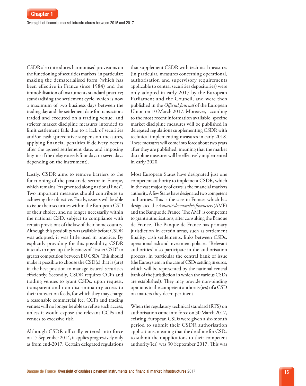CSDR also introduces harmonised provisions on the functioning of securities markets, in particular: making the dematerialised form (which has been effective in France since 1984) and the immobilisation of instruments standard practice; standardising the settlement cycle, which is now a maximum of two business days between the trading day and the settlement date for transactions traded and executed on a trading venue; and stricter market discipline measures intended to limit settlement fails due to a lack of securities and/or cash (preventive suspension measures, applying financial penalties if delivery occurs after the agreed settlement date, and imposing buy‑ins if the delay exceeds four days or seven days depending on the instrument).

Lastly, CSDR aims to remove barriers to the functioning of the post-trade sector in Europe, which remains "fragmented along national lines". Two important measures should contribute to achieving this objective. Firstly, issuers will be able to issue their securities within the European CSD of their choice, and no longer necessarily within the national CSD, subject to compliance with certain provisions of the law of their home country. Although this possibility was available before CSDR was adopted, it was little used in practice. By explicitly providing for this possibility, CSDR intends to open up the business of "issuer CSD" to greater competition between EU CSDs. This should make it possible to choose the CSD(s) that is (are) in the best position to manage issuers' securities efficiently. Secondly, CSDR requires CCPs and trading venues to grant CSDs, upon request, transparent and non‑discriminatory access to their transaction feeds, for which they may charge a reasonable commercial fee. CCPs and trading venues will no longer be able to refuse such access, unless it would expose the relevant CCPs and venues to excessive risk.

Although CSDR officially entered into force on 17 September 2014, it applies progressively only as from end-2017. Certain delegated regulations

that supplement CSDR with technical measures (in particular, measures concerning operational, authorisation and supervisory requirements applicable to central securities depositories) were only adopted in early 2017 by the European Parliament and the Council, and were then published in the *Official Journal* of the European Union on 10 March 2017. Moreover, according to the most recent information available, specific market discipline measures will be published in delegated regulations supplementing CSDR with technical implementing measures in early 2018. These measures will come into force about two years after they are published, meaning that the market discipline measures will be effectively implemented in early 2020.

Most European States have designated just one competent authority to implement CSDR, which in the vast majority of cases is the financial markets authority. A few States have designated two competent authorities. This is the case in France, which has designated the *Autorité des marchés financiers* (AMF) and the Banque de France. The AMF is competent to grant authorisations, after consulting the Banque de France. The Banque de France has primary jurisdiction in certain areas, such as settlement finality, cash settlements, links between CSDs, operational risk and investment policies. "Relevant authorities" also participate in the authorisation process, in particular the central bank of issue (the Eurosystem in the case of CSDs settling in euros, which will be represented by the national central bank of the jurisdiction in which the various CSDs are established). They may provide non-binding opinions to the competent authority(ies) of a CSD on matters they deem pertinent.

When the regulatory technical standard (RTS) on authorisation came into force on 30 March 2017, existing European CSDs were given a six‑month period to submit their CSDR authorisation applications, meaning that the deadline for CSDs to submit their applications to their competent authority(ies) was 30 September 2017. This was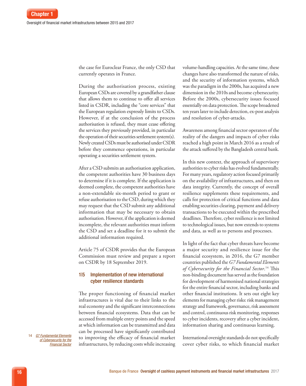the case for Euroclear France, the only CSD that currently operates in France.

During the authorisation process, existing European CSDs are covered by a grandfather clause that allows them to continue to offer all services listed in CSDR, including the "core services" that the European regulation expressly limits to CSDs. However, if at the conclusion of the process authorisation is refused, they must cease offering the services they previously provided, in particular the operation of their securities settlement system(s). Newly created CSDs must be authorised under CSDR before they commence operations, in particular operating a securities settlement system.

After a CSD submits an authorisation application, the competent authorities have 30 business days to determine if it is complete. If the application is deemed complete, the competent authorities have a non‑extendable six‑month period to grant or refuse authorisation to the CSD, during which they may request that the CSD submit any additional information that may be necessary to obtain authorisation. However, if the application is deemed incomplete, the relevant authorities must inform the CSD and set a deadline for it to submit the additional information required.

Article 75 of CSDR provides that the European Commission must review and prepare a report on CSDR by 18 September 2019.

# 1|5 Implementation of new international cyber resilience standards

The proper functioning of financial market infrastructures is vital due to their links to the real economy and the significant interconnections between financial ecosystems. Data that can be accessed from multiple entry points and the speed at which information can be transmitted and data can be processed have significantly contributed to improving the efficacy of financial market infrastructures, by reducing costs while increasing volume‑handling capacities. At the same time, these changes have also transformed the nature of risks, and the security of information systems, which was the paradigm in the 2000s, has acquired a new dimension in the 2010s and become cybersecurity. Before the 2000s, cybersecurity issues focused essentially on data protection. The scope broadened ten years later to include detection, ex‑post analysis and resolution of cyber-attacks.

Awareness among financial sector operators of the reality of the dangers and impacts of cyber risks reached a high point in March 2016 as a result of the attack suffered by the Bangladesh central bank.

In this new context, the approach of supervisory authorities to cyber risks has evolved fundamentally. For many years, regulatory action focused primarily on the availability of infrastructures, and then on data integrity. Currently, the concept of overall resilience supplements these requirements, and calls for protection of critical functions and data enabling securities clearing, payment and delivery transactions to be executed within the prescribed deadlines. Therefore, cyber resilience is not limited to technological issues, but now extends to systems and data, as well as to persons and processes.

In light of the fact that cyber threats have become a major security and resilience issue for the financial ecosystem, in 2016, the G7 member countries published the *G7 Fundamental Elements of Cybersecurity for the Financial Sector*. 14 This non‑binding document has served as the foundation for development of harmonised national strategies for the entire financial sector, including banks and other financial institutions. It sets out eight key elements for managing cyber risks: risk management strategy and framework, governance, risk assessment and control, continuous risk monitoring, responses to cyber incidents, recovery after a cyber incident, information sharing and continuous learning.

International oversight standards do not specifically cover cyber risks, to which financial market

14 *[G7 Fundamental Elements](https://ec.europa.eu/info/system/files/cybersecurity-fundamental-elements-11102016_en.pdf) [of Cybersecurity for the](https://ec.europa.eu/info/system/files/cybersecurity-fundamental-elements-11102016_en.pdf) [Financial](https://ec.europa.eu/info/system/files/cybersecurity-fundamental-elements-11102016_en.pdf) Sector*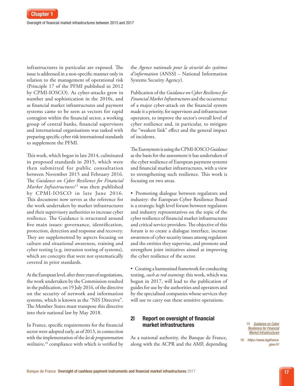infrastructures in particular are exposed. The issue is addressed in a non‑specific manner only in relation to the management of operational risk (Principle 17 of the PFMI published in 2012 by CPMI‑IOSCO). As cyber‑attacks grew in number and sophistication in the 2010s, and as financial market infrastructures and payment systems came to be seen as vectors for rapid contagion within the financial sector, a working group of central banks, financial supervisors and international organisations was tasked with preparing specific cyber risk international standards to supplement the PFMI.

This work, which began in late 2014, culminated in proposed standards in 2015, which were then submitted for public consultation between November 2015 and February 2016. The *Guidance on Cyber Resilience for Financial Market Infrastructures*15 was then published by CPMI‑IOSCO in late June 2016. This document now serves as the reference for the work undertaken by market infrastructures and their supervisory authorities to increase cyber resilience. The Guidance is structured around five main issues: governance, identification, protection, detection and response and recovery. They are supplemented by aspects focusing on culture and situational awareness, training and cyber testing (e.g. intrusion testing of systems), which are concepts that were not systematically covered in prior standards.

At the European level, after three years of negotiations, the work undertaken by the Commission resulted in the publication, on 19 July 2016, of the directive on the security of network and information systems, which is known as the "NIS Directive". The Member States must transpose this directive into their national law by May 2018.

In France, specific requirements for the financial sector were adopted early, as of 2013, in connection with the implementation of the *loi de programmation militaire*, 16 compliance with which is verified by the *Agence nationale pour la sécurité des systèmes d'information* (ANSSI – National Information Systems Security Agency).

Publication of the *Guidance on Cyber Resilience for Financial Market Infrastructures* and the occurrence of a major cyber‑attack on the financial system made it a priority, for supervisors and infrastructure operators, to improve the sector's overall level of cyber resilience and, in particular, to mitigate the "weakest link" effect and the general impact of incidents.

The Eurosystem is using the CPMI‑IOSCO *Guidance* as the basis for the assessment it has undertaken of the cyber resilience of European payment systems and financial market infrastructures, with a view to strengthening such resilience. This work is focusing on two areas.

• Promoting dialogue between regulators and industry: the European Cyber Resilience Board is a strategic high level forum between regulators and industry representatives on the topic of the cyber resilience of financial market infrastructures and critical service providers. The objective of this forum is to create a dialogue interface, increase awareness of cyber security issues among regulators and the entities they supervise, and promote and strengthen joint initiatives aimed at improving the cyber resilience of the sector.

• Creating a harmonised framework for conducting testing, *such as red-teaming*: this work, which was begun in 2017, will lead to the publication of guides for use by the authorities and operators and by the specialised companies whose services they will use to carry out these sensitive operations.

# 2| Report on oversight of financial market infrastructures

As a national authority, the Banque de France, along with the ACPR and the AMF, depending 15 *[Guidance on Cyber](https://www.bis.org/cpmi/publ/d146.pdf
)  [Resilience for Financial](https://www.bis.org/cpmi/publ/d146.pdf
)  Market [Infrastructures](https://www.bis.org/cpmi/publ/d146.pdf
)*

16 *[https://www.legifrance.](https://www.legifrance.gouv.fr/) [gouv.fr/](https://www.legifrance.gouv.fr/)*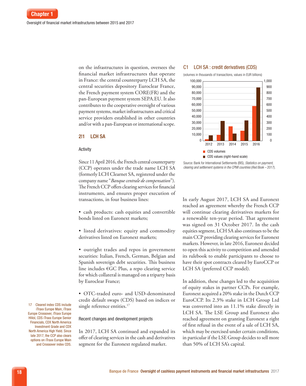on the infrastructures in question, oversees the financial market infrastructures that operate in France: the central counterparty LCH SA, the central securities depository Euroclear France, the French payment system CORE(FR) and the pan‑European payment system SEPA.EU. It also contributes to the cooperative oversight of various payment systems, market infrastructures and critical service providers established in other countries and/or with a pan‑European or international scope.

#### 2|1 LCH SA

#### **Activity**

Since 11 April 2016, the French central counterparty (CCP) operates under the trade name LCH SA (formerly LCH Clearnet SA, registered under the company name "*Banque centrale de compensation*"). The French CCP offers clearing services for financial instruments, and ensures proper execution of transactions, in four business lines:

• cash products: cash equities and convertible bonds listed on Euronext markets;

- listed derivatives: equity and commodity derivatives listed on Euronext markets;
- outright trades and repos in government securities: Italian, French, German, Belgian and Spanish sovereign debt securities. This business line includes €GC Plus, a repo clearing service for which collateral is managed on a triparty basis by Euroclear France;

• OTC‑traded euro‑ and USD‑denominated credit default swaps (CDS) based on indices or single reference entities.<sup>17</sup>

#### Recent changes and development projects

In 2017, LCH SA continued and expanded its offer of clearing services in the cash and derivatives segment for the Euronext regulated market.

#### C1 LCH SA : credit derivatives (CDS)



Source: Bank for International Settlements (BIS), *Statistics on payment, clearing and settlement systems in the CPMI countries* (*Red Book –* 2017).

In early August 2017, LCH SA and Euronext reached an agreement whereby the French CCP will continue clearing derivatives markets for a renewable ten‑year period. That agreement was signed on 31 October 2017. In the cash equities segment, LCH SA also continues to be the main CCP providing clearing services for Euronext markets. However, in late 2016, Euronext decided to open this activity to competition and amended its rulebook to enable participants to choose to have their spot contracts cleared by EuroCCP or LCH SA (preferred CCP model).

In addition, these changes led to the acquisition of equity stakes in partner CCPs. For example, Euronext acquired a 20% stake in the Dutch CCP EuroCCP. Its 2.3% stake in LCH Group Ltd was converted into an 11.1% stake directly in LCH SA. The LSE Group and Euronext also reached agreement on granting Euronext a right of first refusal in the event of a sale of LCH SA, which may be exercised under certain conditions, in particular if the LSE Group decides to sell more than 50% of LCH SA's capital.

17 Cleared index CDS include iTraxx Europe Main, iTraxx Europe Crossover, iTraxx Europe HiVol, CDS iTraxx Europe Senior Financials, CDX North America Investment Grade and CDX North America High Yield. Since late 2017, the CCP also clears options on iTraxx Europe Main and Crossover index CDS.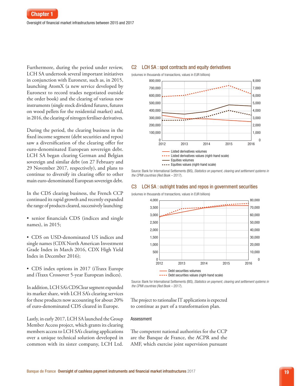Furthermore, during the period under review, LCH SA undertook several important initiatives in conjunction with Euronext, such as, in 2015, launching AtomX (a new service developed by Euronext to record trades negotiated outside the order book) and the clearing of various new instruments (single stock dividend futures, futures on wood pellets for the residential market) and, in 2016, the clearing of nitrogen fertiliser derivatives.

During the period, the clearing business in the fixed income segment (debt securities and repos) saw a diversification of the clearing offer for euro‑denominated European sovereign debt. LCH SA began clearing German and Belgian sovereign and similar debt (on 27 February and 29 November 2017, respectively), and plans to continue to diversify its clearing offer to other main euro‑denominated European sovereign debt.

In the CDS clearing business, the French CCP continued its rapid growth and recently expanded the range of products cleared, successively launching:

• senior financials CDS (indices and single names), in 2015;

• CDS on USD-denominated US indices and single names (CDX North American Investment Grade Index in March 2016, CDX High Yield Index in December 2016);

• CDS index options in 2017 (iTraxx Europe and iTraxx Crossover 5‑year European indices).

In addition, LCH SA's CDSClear segment expanded its market share, with LCH SA's clearing services for these products now accounting for about 20% of euro‑denominated CDS cleared in Europe.

Lastly, in early 2017, LCH SA launched the Group Member Access project, which grants its clearing members access to LCH SA's clearing applications over a unique technical solution developed in common with its sister company, LCH Ltd.

#### C2 LCH SA : spot contracts and equity derivatives



Source: Bank for International Settlements (BIS), *Statistics on payment, clearing and settlement systems in the CPMI countries* (*Red Book –* 2017).

#### C3 LCH SA : outright trades and repos in government securities



(volumes in thousands of transactions, values in EUR billions)

The project to rationalise IT applications is expected to continue as part of a transformation plan.

#### Assessment

The competent national authorities for the CCP are the Banque de France, the ACPR and the AMF, which exercise joint supervision pursuant

Source: Bank for International Settlements (BIS), *Statistics on payment, clearing and settlement systems in the CPMI countries* (*Red Book –* 2017).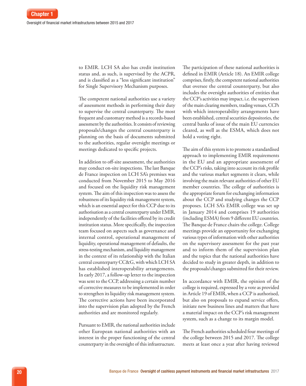to EMIR. LCH SA also has credit institution status and, as such, is supervised by the ACPR, and is classified as a "less significant institution" for Single Supervisory Mechanism purposes.

The competent national authorities use a variety of assessment methods in performing their duty to supervise the central counterparty. The most frequent and customary method is a records‑based assessment by the authorities. It consists of reviewing proposals/changes the central counterparty is planning on the basis of documents submitted to the authorities, regular oversight meetings or meetings dedicated to specific projects.

In addition to off‑site assessment, the authorities may conduct on‑site inspections. The last Banque de France inspection on LCH SA's premises was conducted from November 2015 to May 2016 and focused on the liquidity risk management system. The aim of this inspection was to assess the robustness of its liquidity risk management system, which is an essential aspect for this CCP due to its authorisation as a central counterparty under EMIR, independently of the facilities offered by its credit institution status. More specifically, the inspection team focused on aspects such as governance and internal control, operational management of liquidity, operational management of defaults, the stress‑testing mechanism, and liquidity management in the context of its relationship with the Italian central counterparty CC&G, with which LCH SA has established interoperability arrangements. In early 2017, a follow‑up letter to the inspection was sent to the CCP, addressing a certain number of corrective measures to be implemented in order to strengthen its liquidity risk management system. The corrective actions have been incorporated into the supervision plan adopted by the French authorities and are monitored regularly.

Pursuant to EMIR, the national authorities include other European national authorities with an interest in the proper functioning of the central counterparty in the oversight of this infrastructure.

The participation of these national authorities is defined in EMIR (Article 18). An EMIR college comprises, firstly, the competent national authorities that oversee the central counterparty, but also includes the oversight authorities of entities that the CCP's activities may impact, i.e. the supervisors of the main clearing members, trading venues, CCPs with which interoperability arrangements have been established, central securities depositories, the central banks of issue of the main EU currencies cleared, as well as the ESMA, which does not hold a voting right.

The aim of this system is to promote a standardised approach to implementing EMIR requirements in the EU and an appropriate assessment of the CCP's risks, taking into account its risk profile and the various market segments it clears, while involving the main relevant authorities of other EU member countries. The college of authorities is the appropriate forum for exchanging information about the CCP and studying changes the CCP proposes. LCH SA's EMIR college was set up in January 2014 and comprises 19 authorities (including ESMA) from 9 different EU countries. The Banque de France chairs the college. College meetings provide an opportunity for exchanging various types of information with other authorities on the supervisory assessment for the past year and to inform them of the supervision plan and the topics that the national authorities have decided to study in greater depth, in addition to the proposals/changes submitted for their review.

In accordance with EMIR, the opinion of the college is required, expressed by a vote as provided in Article 19 of EMIR, when a CCP is authorised, but also on proposals to expand service offers, initiate new business lines and matters that have a material impact on the CCP's risk management system, such as a change to its margin model.

The French authorities scheduled four meetings of the college between 2015 and 2017. The college meets at least once a year after having reviewed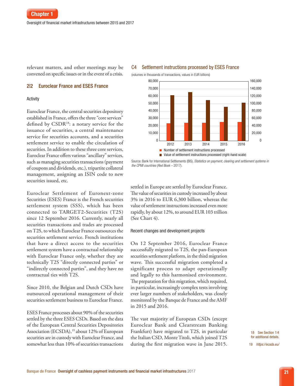relevant matters, and other meetings may be convened on specific issues or in the event of a crisis.

#### 2|2 Euroclear France and ESES France

#### Activity

Euroclear France, the central securities depository established in France, offers the three "core services" defined by CSDR<sup>18</sup>: a notary service for the issuance of securities, a central maintenance service for securities accounts, and a securities settlement service to enable the circulation of securities. In addition to these three core services, Euroclear France offers various "ancillary" services, such as managing securities transactions (payment of coupons and dividends, etc.), tripartite collateral management, assigning an ISIN code to new securities issued, etc.

Euroclear Settlement of Euronext-zone Securities (ESES) France is the French securities settlement system (SSS), which has been connected to TARGET2-Securities (T2S) since 12 September 2016. Currently, nearly all securities transactions and trades are processed on T2S, to which Euroclear France outsources the securities settlement service. French institutions that have a direct access to the securities settlement system have a contractual relationship with Euroclear France only, whether they are technically T2S "directly connected parties" or "indirectly connected parties", and they have no contractual ties with T2S.

Since 2010, the Belgian and Dutch CSDs have outsourced operational management of their securities settlement business to Euroclear France.

ESES France processes about 90% of the securities settled by the three ESES CSDs. Based on the data of the European Central Securities Depositories Association (ECSDA),<sup>19</sup> about 12% of European securities are in custody with Euroclear France, and somewhat less than 10% of securities transactions

#### C4 Settlement instructions processed by ESES France

(volumes in thousands of transactions, values in EUR billions)



Source: Bank for International Settlements (BIS), *Statistics on payment, clearing and settlement systems in the CPMI countries* (*Red Book –* 2017).

settled in Europe are settled by Euroclear France. The value of securities in custody increased by about 3% in 2016 to EUR 6,300 billion, whereas the value of settlement instructions increased even more rapidly, by about 12%, to around EUR 103 trillion (See Chart 4).

#### Recent changes and development projects

On 12 September 2016, Euroclear France successfully migrated to T2S, the pan-European securities settlement platform, in the third migration wave. This successful migration completed a significant process to adapt operationally and legally to this harmonised environment. The preparation for this migration, which required, in particular, increasingly complex tests involving ever larger numbers of stakeholders, was closely monitored by the Banque de France and the AMF in 2015 and 2016.

The vast majority of European CSDs (except Euroclear Bank and Clearstream Banking Frankfurt) have migrated to T2S, in particular the Italian CSD, Monte Titoli, which joined T2S during the first migration wave in June 2015.

18 See Section 1|4 for additional details. 19 *<https://ecsda.eu/>*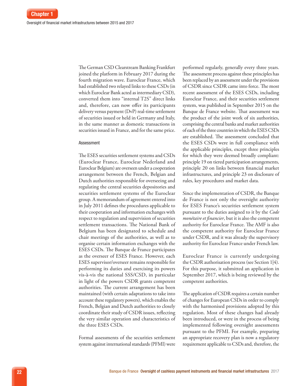The German CSD Clearstream Banking Frankfurt joined the platform in February 2017 during the fourth migration wave. Euroclear France, which had established two relayed links to these CSDs (in which Euroclear Bank acted as intermediary CSD), converted them into "internal T2S" direct links and, therefore, can now offer its participants delivery versus payment (DvP) real-time settlement of securities issued or held in Germany and Italy, in the same manner as domestic transactions in securities issued in France, and for the same price.

#### Assessment

The ESES securities settlement systems and CSDs (Euroclear France, Euroclear Nederland and Euroclear Belgium) are overseen under a cooperation arrangement between the French, Belgian and Dutch authorities responsible for overseeing and regulating the central securities depositories and securities settlement systems of the Euroclear group. A memorandum of agreement entered into in July 2011 defines the procedures applicable to their cooperation and information exchanges with respect to regulation and supervision of securities settlement transactions. The National Bank of Belgium has been designated to schedule and chair meetings of the authorities, as well as to organise certain information exchanges with the ESES CSDs. The Banque de France participates as the overseer of ESES France. However, each ESES supervisor/overseer remains responsible for performing its duties and exercising its powers vis‑à‑vis the national SSS/CSD, in particular in light of the powers CSDR grants competent authorities. The current arrangement has been maintained (with certain adaptations to take into account these regulatory powers), which enables the French, Belgian and Dutch authorities to closely coordinate their study of CSDR issues, reflecting the very similar operation and characteristics of the three ESES CSDs.

Formal assessments of the securities settlement system against international standards (PFMI) were

performed regularly, generally every three years. The assessment process against these principles has been replaced by an assessment under the provisions of CSDR since CSDR came into force. The most recent assessment of the ESES CSDs, including Euroclear France, and their securities settlement system, was published in September 2015 on the Banque de France website. That assessment was the product of the joint work of six authorities, comprising the central banks and market authorities of each of the three countries in which the ESES CSDs are established. The assessment concluded that the ESES CSDs were in full compliance with the applicable principles, except three principles for which they were deemed broadly compliant: principle 19 on tiered participation arrangements, principle 20 on links between financial market infrastructures, and principle 23 on disclosure of rules, key procedures and market data.

Since the implementation of CSDR, the Banque de France is not only the oversight authority for ESES France's securities settlement system pursuant to the duties assigned to it by the *Code monétaire et financier*, but it is also the competent authority for Euroclear France. The AMF is also the competent authority for Euroclear France under CSDR, and it was already the supervisory authority for Euroclear France under French law.

Euroclear France is currently undergoing the CSDR authorisation process (see Section 1|4). For this purpose, it submitted an application in September 2017, which is being reviewed by the competent authorities.

The application of CSDR requires a certain number of changes for European CSDs in order to comply with the harmonised provisions adopted by this regulation. Most of these changes had already been introduced, or were in the process of being implemented following oversight assessments pursuant to the PFMI. For example, preparing an appropriate recovery plan is now a regulatory requirement applicable to CSDs and, therefore, the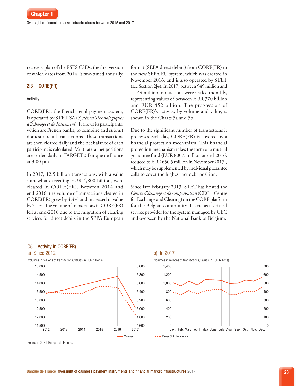recovery plan of the ESES CSDs, the first version of which dates from 2014, is fine-tuned annually.

#### 2|3 CORE(FR)

#### Activity

CORE(FR), the French retail payment system, is operated by STET SA (*Systèmes Technologiques d'Échanges et de Traitement*). It allows its participants, which are French banks, to combine and submit domestic retail transactions. These transactions are then cleared daily and the net balance of each participant is calculated. Multilateral net positions are settled daily in TARGET2‑Banque de France at 3.00 pm.

In 2017, 12.5 billion transactions, with a value somewhat exceeding EUR 4,800 billion, were cleared in CORE(FR). Between 2014 and end‑2016, the volume of transactions cleared in CORE(FR) grew by 4.4% and increased in value by 3.1%. The volume of transactions in CORE(FR) fell at end‑2016 due to the migration of clearing services for direct debits in the SEPA European format (SEPA direct debits) from CORE(FR) to the new SEPA.EU system, which was created in November 2016, and is also operated by STET (see Section 2|4). In 2017, between 949 million and 1,144 million transactions were settled monthly, representing values of between EUR 370 billion and EUR 452 billion. The progression of CORE(FR)'s activity, by volume and value, is shown in the Charts 5a and 5b.

Due to the significant number of transactions it processes each day, CORE(FR) is covered by a financial protection mechanism. This financial protection mechanism takes the form of a mutual guarantee fund (EUR 800.5 million at end‑2016, reduced to EUR 650.5 million in November 2017), which may be supplemented by individual guarantee calls to cover the highest net debt position.

Since late February 2013, STET has hosted the *Centre d'échange et de compensation* (CEC – Centre for Exchange and Clearing) on the CORE platform for the Belgian community. It acts as a critical service provider for the system managed by CEC and overseen by the National Bank of Belgium.

#### C5 Activity in CORE(FR)







Sources : STET, Banque de France.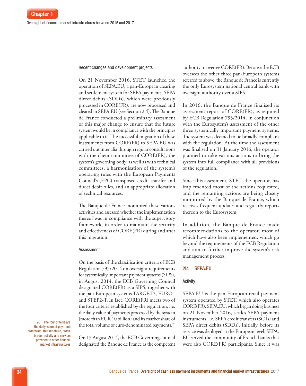#### Recent changes and development projects

On 21 November 2016, STET launched the operation of SEPA.EU, a pan‑European clearing and settlement system for SEPA payments. SEPA direct debits (SDDs), which were previously processed in CORE(FR), are now processed and cleared in SEPA.EU (see Section 2|4). The Banque de France conducted a preliminary assessment of this major change to ensure that the future system would be in compliance with the principles applicable to it. The successful migration of these instruments from CORE(FR) to SEPA.EU was carried out inter alia through regular consultations with the client committee of CORE(FR), the system's governing body, as well as with technical committees, a harmonisation of the system's operating rules with the European Payments Council's (EPC) transposed credit transfer and direct debit rules, and an appropriate allocation of technical resources.

The Banque de France monitored these various activities and assessed whether the implementation thereof was in compliance with the supervisory framework, in order to maintain the security and effectiveness of CORE(FR) during and after this migration.

#### Assessment

On the basis of the classification criteria of ECB Regulation 795/2014 on oversight requirements for systemically important payment systems (SIPS), in August 2014, the ECB Governing Council designated CORE(FR) as a SIPS, together with the pan‑European systems TARGET2, EURO1 and STEP2‑T. In fact, CORE(FR) meets two of the four criteria established by the regulation, i.e. the daily value of payments processed by the system (more than EUR 10 billion) and its market share of the total volume of euro-denominated payments.<sup>20</sup>

20 The four criteria are: the daily value of payments processed, market share, crossborder activity and services provided to other financial market infrastructures.

On 13 August 2014, the ECB Governing council designated the Banque de France as the competent authority to oversee CORE(FR). Because the ECB oversees the other three pan‑European systems referred to above, the Banque de France is currently the only Eurosystem national central bank with oversight authority over a SIPS.

In 2016, the Banque de France finalised its assessment report of CORE(FR), as required by ECB Regulation 795/2014, in conjunction with the Eurosystem's assessment of the other three systemically important payment systems. The system was deemed to be broadly compliant with the regulation. At the time the assessment was finalised on 31 January 2016, the operator planned to take various actions to bring the system into full compliance with all provisions of the regulation.

Since this assessment, STET, the operator, has implemented most of the actions requested, and the remaining actions are being closely monitored by the Banque de France, which receives frequent updates and regularly reports thereon to the Eurosystem.

In addition, the Banque de France made recommendations to the operator, most of which have also been implemented, which go beyond the requirements of the ECB Regulation and aim to further improve the system's risk management process.

#### 2|4 SEPA.EU

#### Activity

SEPA.EU is the pan-European retail payment system operated by STET, which also operates CORE(FR). SEPA.EU, which began doing business on 21 November 2016, settles SEPA payment instruments, i.e. SEPA credit transfers (SCTs) and SEPA direct debits (SDDs). Initially, before its service was deployed at the European level, SEPA. EU served the community of French banks that were also CORE(FR) participants. Since it was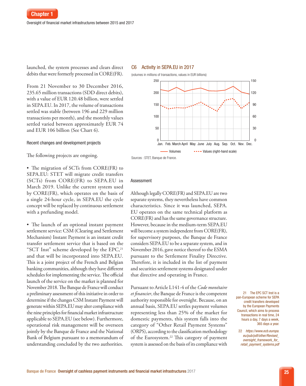launched, the system processes and clears direct debits that were formerly processed in CORE(FR).

From 21 November to 30 December 2016, 235.65 million transactions (SDD direct debits), with a value of EUR 120.48 billion, were settled in SEPA.EU. In 2017, the volume of transactions settled was stable (between 196 and 229 million transactions per month), and the monthly values settled varied between approximately EUR 74 and EUR 106 billion (See Chart 6).

#### Recent changes and development projects

The following projects are ongoing.

• The migration of SCTs from CORE(FR) to SEPA.EU: STET will migrate credit transfers (SCTs) from CORE(FR) to SEPA.EU in March 2019. Unlike the current system used by CORE(FR), which operates on the basis of a single 24‑hour cycle, in SEPA.EU the cycle concept will be replaced by continuous settlement with a prefunding model.

• The launch of an optional instant payment settlement service: CSM (Clearing and Settlement Mechanism) Instant Payment is an instant credit transfer settlement service that is based on the "SCT Inst" scheme developed by the EPC,<sup>21</sup> and that will be incorporated into SEPA.EU. This is a joint project of the French and Belgian banking communities, although they have different schedules for implementing the service. The official launch of the service on the market is planned for November 2018. The Banque de France will conduct a preliminary assessment of this initiative in order to determine if the changes CSM Instant Payment will generate within SEPA.EU may alter compliance with the nine principles for financial market infrastructure applicable to SEPA.EU (see below). Furthermore, operational risk management will be overseen jointly by the Banque de France and the National Bank of Belgium pursuant to a memorandum of understanding concluded by the two authorities.

#### C6 Activity in SEPA.EU in 2017



Sources : STET, Banque de France.

#### Assessment

Although legally CORE(FR) and SEPA.EU are two separate systems, they nevertheless have common characteristics. Since it was launched, SEPA. EU operates on the same technical platform as CORE(FR) and has the same governance structure. However, because in the medium‑term SEPA.EU will become a system independent from CORE(FR), for supervisory purposes, the Banque de France considers SEPA.EU to be a separate system, and in November 2016, gave notice thereof to the ESMA pursuant to the Settlement Finality Directive. Therefore, it is included in the list of payment and securities settlement systems designated under that directive and operating in France.

Pursuant to Article L141‑4 of the *Code monétaire et financier*, the Banque de France is the competent authority responsible for oversight. Because, on an annual basis, SEPA.EU settles payment volumes representing less than 25% of the market for domestic payments, this system falls into the category of "Other Retail Payment Systems" (ORPS), according to the classification methodology of the Eurosystem.<sup>22</sup> This category of payment system is assessed on the basis of its compliance with

21 The EPC SCT Inst is a pan-European scheme for SEPA credit transfers developed by the European Payments Council, which aims to process transactions in real time, 24 hours a day, 7 days a week, 365 days a year.

22 *[https://www.ecb.europa.](https://www.ecb.europa.eu/pub/pdf/other/Revised_oversight_framework_for_retail_payment_systems.pdf) [eu/pub/pdf/other/Revised\\_](https://www.ecb.europa.eu/pub/pdf/other/Revised_oversight_framework_for_retail_payment_systems.pdf) [oversight\\_framework\\_for\\_](https://www.ecb.europa.eu/pub/pdf/other/Revised_oversight_framework_for_retail_payment_systems.pdf) [retail\\_payment\\_systems.pdf](https://www.ecb.europa.eu/pub/pdf/other/Revised_oversight_framework_for_retail_payment_systems.pdf)*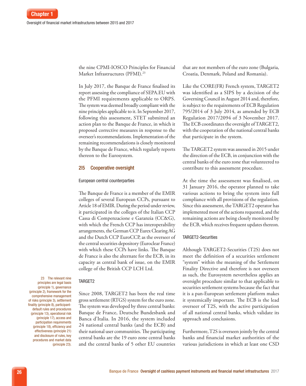the nine CPMI‑IOSCO Principles for Financial Market Infrastructures (PFMI).<sup>23</sup>

In July 2017, the Banque de France finalised its report assessing the compliance of SEPA.EU with the PFMI requirements applicable to ORPS. The system was deemed broadly compliant with the nine principles applicable to it. In September 2017, following this assessment, STET submitted an action plan to the Banque de France, in which it proposed corrective measures in response to the overseer's recommendations. Implementation of the remaining recommendations is closely monitored by the Banque de France, which regularly reports thereon to the Eurosystem.

#### 2|5 Cooperative oversight

#### European central counterparties

The Banque de France is a member of the EMIR colleges of several European CCPs, pursuant to Article 18 of EMIR. During the period under review, it participated in the colleges of the Italian CCP Cassa di Compenzacione e Garanzia (CC&G), with which the French CCP has interoperability arrangements, the German CCP Eurex Clearing AG and the Dutch CCP EuroCCP, as the overseer of the central securities depository (Euroclear France) with which these CCPs have links. The Banque de France is also the alternate for the ECB, in its capacity as central bank of issue, on the EMIR college of the British CCP LCH Ltd.

#### TARGET2

Since 2008, TARGET2 has been the real time gross settlement (RTGS) system for the euro zone. The system was developed by three central banks: Banque de France, Deutsche Bundesbank and Banca d'Italia. In 2016, the system included 24 national central banks (and the ECB) and their national user communities. The participating central banks are the 19 euro zone central banks and the central banks of 5 other EU countries that are not members of the euro zone (Bulgaria, Croatia, Denmark, Poland and Romania).

Like the CORE(FR) French system, TARGET2 was identified as a SIPS by a decision of the Governing Council in August 2014 and, therefore, is subject to the requirements of ECB Regulation 795/2014 of 3 July 2014, as amended by ECB Regulation 2017/2094 of 3 November 2017. The ECB coordinates the oversight of TARGET2, with the cooperation of the national central banks that participate in the system.

The TARGET2 system was assessed in 2015 under the direction of the ECB, in conjunction with the central banks of the euro zone that volunteered to contribute to this assessment procedure.

At the time the assessment was finalised, on 31 January 2016, the operator planned to take various actions to bring the system into full compliance with all provisions of the regulation. Since this assessment, the TARGET2 operator has implemented most of the actions requested, and the remaining actions are being closely monitored by the ECB, which receives frequent updates thereon.

#### TARGET2-Securities

Although TARGET2‑Securities (T2S) does not meet the definition of a securities settlement "system" within the meaning of the Settlement Finality Directive and therefore is not overseen as such, the Eurosystem nevertheless applies an oversight procedure similar to that applicable to securities settlement systems because the fact that it is a pan‑European settlement platform makes it systemically important. The ECB is the lead overseer of T2S, with the active participation of all national central banks, which validate its approach and conclusions.

Furthermore, T2S is overseen jointly by the central banks and financial market authorities of the various jurisdictions in which at least one CSD

23 The relevant nine principles are legal basis (principle 1), governance (principle 2), framework for the comprehensive management of risks (principle 3), settlement finality (principle 8), participantdefault rules and procedures (principle 13), operational risk (principle 17), access and participation requirements (principle 18), efficiency and effectiveness (principle 21) and disclosure of rules, key procedures and market data (principle 23).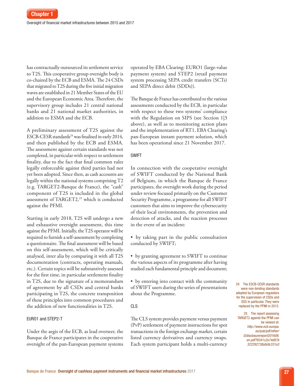has contractually outsourced its settlement service to T2S. This cooperative group oversight body is co-chaired by the ECB and ESMA. The 24 CSDs that migrated to T2S during the five initial migration waves are established in 21 Member States of the EU and the European Economic Area. Therefore, the supervisory group includes 21 central national banks and 21 national market authorities, in addition to ESMA and the ECB.

A preliminary assessment of T2S against the ESCB-CESR standards<sup>24</sup> was finalised in early 2014, and then published by the ECB and ESMA. The assessment against certain standards was not completed, in particular with respect to settlement finality, due to the fact that final common rules legally enforceable against third parties had not yet been adopted. Since then, as cash accounts are legally within the national systems comprising T2 (e.g. TARGET2‑Banque de France), the "cash" component of T2S is included in the global assessment of TARGET2,<sup>25</sup> which is conducted against the PFMI.

Starting in early 2018, T2S will undergo a new and exhaustive oversight assessment, this time against the PFMI. Initially, the T2S operator will be required to furnish a self‑assessment by completing a questionnaire. The final assessment will be based on this self‑assessment, which will be critically analysed, inter alia by comparing it with all T2S documentation (contracts, operating manuals, etc.). Certain topics will be substantively assessed for the first time, in particular settlement finality in T2S, due to the signature of a memorandum of agreement by all CSDs and central banks participating in T2S, the concrete transposition of these principles into common procedures and the addition of new functionalities in T2S.

#### EURO1 and STEP2-T

Under the aegis of the ECB, as lead overseer, the Banque de France participates in the cooperative oversight of the pan‑European payment systems operated by EBA Clearing: EURO1 (large-value payment system) and STEP2 (retail payment system processing SEPA credit transfers (SCTs) and SEPA direct debit (SDDs)).

The Banque de France has contributed to the various assessments conducted by the ECB, in particular with respect to these two systems' compliance with the Regulation on SIPS (see Section 1|3 above), as well as to monitoring action plans and the implementation of RT1, EBA Clearing's pan‑European instant payment solution, which has been operational since 21 November 2017.

#### SWIFT

In connection with the cooperative oversight of SWIFT conducted by the National Bank of Belgium, in which the Banque de France participates, the oversight work during the period under review focused primarily on the Customer Security Programme, a programme for all SWIFT customers that aims to improve the cybersecurity of their local environments, the prevention and detection of attacks, and the reaction processes in the event of an incident:

• by taking part in the public consultation conducted by SWIFT;

• by granting agreement to SWIFT to continue the various aspects of its programme after having studied each fundamental principle and document;

• by entering into contact with the community of SWIFT users during the series of presentations about the Programme.

#### CLS

The CLS system provides payment versus payment (PvP) settlement of payment instructions for spot transactions in the foreign exchange market, certain listed currency derivatives and currency swaps. Each system participant holds a multi-currency 24 The ESCB-CESR standards were non-binding standards adopted by European regulators for the supervision of CSDs and SSS in particular. They were replaced by the PFMI in 2012.

25 The report assessing TARGET2 against the PFMI can be viewed at: *[http://www.ecb.europa.](http://www.ecb.europa.eu/pub/pdf/other/t2disclosurereport201606.en.pdf?8341c2a74d87b322292738afa9c331a3) [eu/pub/pdf/other/](http://www.ecb.europa.eu/pub/pdf/other/t2disclosurereport201606.en.pdf?8341c2a74d87b322292738afa9c331a3) [t2disclosurereport201606.](http://www.ecb.europa.eu/pub/pdf/other/t2disclosurereport201606.en.pdf?8341c2a74d87b322292738afa9c331a3) [en.pdf?8341c2a74d87b](http://www.ecb.europa.eu/pub/pdf/other/t2disclosurereport201606.en.pdf?8341c2a74d87b322292738afa9c331a3) [322292738afa9c331a3](http://www.ecb.europa.eu/pub/pdf/other/t2disclosurereport201606.en.pdf?8341c2a74d87b322292738afa9c331a3)*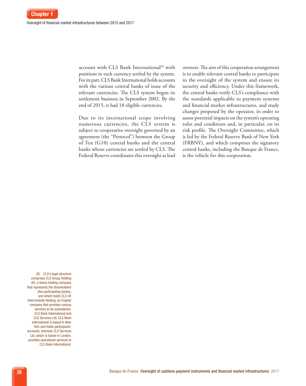account with CLS Bank International<sup>26</sup> with positions in each currency settled by the system. For its part, CLS Bank International holds accounts with the various central banks of issue of the relevant currencies. The CLS system began its settlement business in September 2002. By the end of 2015, it had 18 eligible currencies.

Due to its international scope involving numerous currencies, the CLS system is subject to cooperative oversight governed by an agreement (the "Protocol") between the Group of Ten (G10) central banks and the central banks whose currencies are settled by CLS. The Federal Reserve coordinates this oversight as lead overseer. The aim of this cooperation arrangement is to enable relevant central banks to participate in the oversight of the system and ensure its security and efficiency. Under this framework, the central banks verify CLS's compliance with the standards applicable to payment systems and financial market infrastructures, and study changes proposed by the operator, in order to assess potential impacts on the system's operating rules and conditions and, in particular, on its risk profile. The Oversight Committee, which is led by the Federal Reserve Bank of New York (FRBNY), and which comprises the signatory central banks, including the Banque de France, is the vehicle for this cooperation.

26 CLS's legal structure comprises CLS Group Holding AG, a Swiss holding company that represents the shareholders (the participating banks), and which holds CLS UK Intermediate Holding, an English company that provides various services to its subsidiaries, CLS Bank International and CLS Services Ltd. CLS Bank International is based in New York and holds participants' accounts, whereas CLS Services Ltd, which is based in London, provides operational services to CLS Bank International.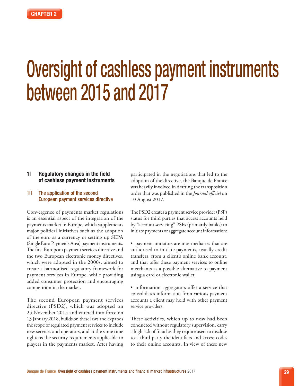# Oversight of cashless payment instruments between 2015 and 2017

#### 1| Regulatory changes in the field of cashless payment instruments

#### 1|1 The application of the second European payment services directive

Convergence of payments market regulations is an essential aspect of the integration of the payments market in Europe, which supplements major political initiatives such as the adoption of the euro as a currency or setting up SEPA (Single Euro Payments Area) payment instruments. The first European payment services directive and the two European electronic money directives, which were adopted in the 2000s, aimed to create a harmonised regulatory framework for payment services in Europe, while providing added consumer protection and encouraging competition in the market.

The second European payment services directive (PSD2), which was adopted on 25 November 2015 and entered into force on 13 January 2018, builds on these laws and expands the scope of regulated payment services to include new services and operators, and at the same time tightens the security requirements applicable to players in the payments market. After having

participated in the negotiations that led to the adoption of the directive, the Banque de France was heavily involved in drafting the transposition order that was published in the *Journal officiel* on 10 August 2017.

The PSD2 creates a payment service provider (PSP) status for third parties that access accounts held by "account servicing" PSPs (primarily banks) to initiate payments or aggregate account information:

• payment initiators are intermediaries that are authorised to initiate payments, usually credit transfers, from a client's online bank account, and that offer these payment services to online merchants as a possible alternative to payment using a card or electronic wallet;

• information aggregators offer a service that consolidates information from various payment accounts a client may hold with other payment service providers.

These activities, which up to now had been conducted without regulatory supervision, carry a high risk of fraud as they require users to disclose to a third party the identifiers and access codes to their online accounts. In view of these new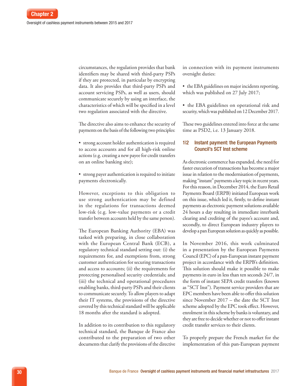circumstances, the regulation provides that bank identifiers may be shared with third-party PSPs if they are protected, in particular by encrypting data. It also provides that third-party PSPs and account servicing PSPs, as well as users, should communicate securely by using an interface, the characteristics of which will be specified in a level two regulation associated with the directive.

The directive also aims to enhance the security of payments on the basis of the following two principles:

• strong account holder authentication is required to access accounts and for all high-risk online actions (e.g. creating a new payee for credit transfers on an online banking site);

• strong payer authentication is required to initiate payments electronically.

However, exceptions to this obligation to use strong authentication may be defined in the regulations for transactions deemed low-risk (e.g. low-value payments or a credit transfer between accounts held by the same person).

The European Banking Authority (EBA) was tasked with preparing, in close collaboration with the European Central Bank (ECB), a regulatory technical standard setting out: (i) the requirements for, and exemptions from, strong customer authentication for securing transactions and access to accounts; (ii) the requirements for protecting personalised security credentials; and (iii) the technical and operational procedures enabling banks, third-party PSPs and their clients to communicate securely. To allow players to adapt their IT systems, the provisions of the directive covered by this technical standard will be applicable 18 months after the standard is adopted.

In addition to its contribution to this regulatory technical standard, the Banque de France also contributed to the preparation of two other documents that clarify the provisions of the directive in connection with its payment instruments oversight duties:

• the EBA guidelines on major incidents reporting, which was published on 27 July 2017;

• the EBA guidelines on operational risk and security, which was published on 12 December 2017.

These two guidelines entered into force at the same time as PSD2, i.e. 13 January 2018.

#### 1|2 Instant payment: the European Payments Council's SCT Inst scheme

As electronic commerce has expanded, the need for faster execution of transactions has become a major issue in relation to the modernisation of payments, making "instant" payments a key topic in recent years. For this reason, in December 2014, the Euro Retail Payments Board (ERPB) initiated European work on this issue, which led it, firstly, to define instant payments as electronic payment solutions available 24 hours a day resulting in immediate interbank clearing and crediting of the payee's account and, secondly, to direct European industry players to develop a pan European solution as quickly as possible.

In November 2016, this work culminated in a presentation by the European Payments Council (EPC) of a pan-European instant payment project in accordance with the ERPB's definition. This solution should make it possible to make payments in euro in less than ten seconds 24/7, in the form of instant SEPA credit transfers (known as "SCT Inst"). Payment service providers that are EPC members have been able to offer this solution since November 2017 – the date the SCT Inst scheme adopted by the EPC took effect. However, enrolment in this scheme by banks is voluntary, and they are free to decide whether or not to offer instant credit transfer services to their clients.

To properly prepare the French market for the implementation of this pan-European payment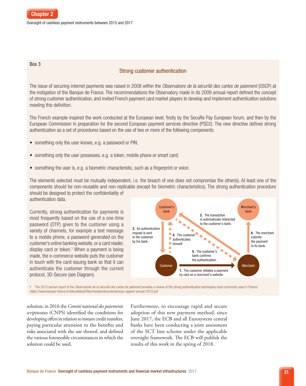#### Box 3

# Strong customer authentication

The issue of securing internet payments was raised in 2008 within the *Observatoire de la sécurité des cartes de paiement* (OSCP) at the instigation of the Banque de France. The recommendations the Observatory made in its 2009 annual report defined the concept of strong customer authentication, and invited French payment card market players to develop and implement authentication solutions meeting this definition.

The French example inspired the work conducted at the European level, firstly by the SecuRe Pay European forum, and then by the European Commission in preparation for the second European payment services directive (PSD2). The new directive defines strong authentication as a set of procedures based on the use of two or more of the following components:

- something only the user knows, e.g. a password or PIN;
- something only the user possesses, e.g. a token, mobile phone or smart card;
- something the user is, e.g. a biometric characteristic, such as a fingerprint or voice.

The elements selected must be mutually independent, i.e. the breach of one does not compromise the other(s). At least one of the components should be non-reusable and non-replicable (except for biometric characteristics). The strong authentication procedure should be designed to protect the confidentiality of authentication data.

Currently, strong authentication for payments is most frequently based on the use of a one-time password (OTP) given to the customer using a variety of channels, for example a text message to a mobile phone, a password generated on the customer's online banking website, or a card reader, display card or token.<sup>1</sup> When a payment is being made, the e-commerce website puts the customer in touch with the card-issuing bank so that it can authenticate the customer through the current protocol, 3D-Secure (see Diagram).



1 The 2015 annual report of the *Observatoire de la sécurité des cartes de paiement* provides a review of the strong authentication techniques most commonly used in France: *<https://www.banque-france.fr/sites/default/files/medias/documents/oscp-rapport-annuel-2015.pdf>*

solution, in 2016 the *Comité national des paiements scripturaux* (CNPS) identified the conditions for developing offers in relation to instant credit transfers, paying particular attention to the benefits and risks associated with the use thereof, and defined the various foreseeable circumstances in which the solution could be used.

Furthermore, to encourage rapid and secure adoption of this new payment method, since June 2017, the ECB and all Eurosystem central banks have been conducting a joint assessment of the SCT Inst scheme under the applicable oversight framework. The ECB will publish the results of this work in the spring of 2018.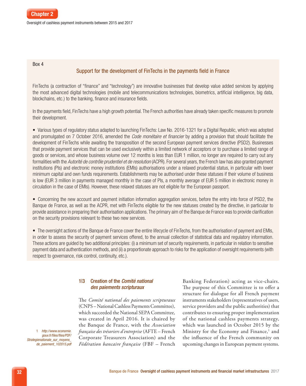

#### Box 4

# Support for the development of FinTechs in the payments field in France

FinTechs (a contraction of "finance" and "technology") are innovative businesses that develop value added services by applying the most advanced digital technologies (mobile and telecommunications technologies, biometrics, artificial intelligence, big data, blockchains, etc.) to the banking, finance and insurance fields.

In the payments field, FinTechs have a high growth potential. The French authorities have already taken specific measures to promote their development.

• Various types of regulatory status adapted to launching FinTechs: Law No. 2016-1321 for a Digital Republic, which was adopted and promulgated on 7 October 2016, amended the *Code monétaire et financier* by adding a provision that should facilitate the development of FinTechs while awaiting the transposition of the second European payment services directive (PSD2). Businesses that provide payment services that can be used exclusively within a limited network of acceptors or to purchase a limited range of goods or services, and whose business volume over 12 months is less than EUR 1 million, no longer are required to carry out any formalities with the *Autorité de contrôle prudentiel et de resolution* (ACPR). For several years, the French law has also granted payment institutions (PIs) and electronic money institutions (EMIs) authorisations under a relaxed prudential status, in particular with lower minimum capital and own funds requirements. Establishments may be authorised under these statuses if their volume of business is low (EUR 3 million in payments managed monthly in the case of PIs, a monthly average of EUR 5 million in electronic money in circulation in the case of EMIs). However, these relaxed statuses are not eligible for the European passport.

• Concerning the new account and payment initiation information aggregation services, before the entry into force of PSD2, the Banque de France, as well as the ACPR, met with FinTechs eligible for the new statuses created by the directive, in particular to provide assistance in preparing their authorisation applications. The primary aim of the Banque de France was to provide clarification on the security provisions relevant to these two new services.

• The oversight actions of the Banque de France cover the entire lifecycle of FinTechs, from the authorisation of payment and EMIs, in order to assess the security of payment services offered, to the annual collection of statistical data and regulatory information. These actions are guided by two additional principles: (i) a minimum set of security requirements, in particular in relation to sensitive payment data and authentication methods, and (ii) a proportionate approach to risks for the application of oversight requirements (with respect to governance, risk control, continuity, etc.).

# 1|3 Creation of the *Comité national des paiements scripturaux*

The *Comité national des paiements scripturaux* (CNPS – National Cashless Payments Committee), which succeeded the National SEPA Committee, was created in April 2016. It is chaired by the Banque de France, with the *Association française des trésoriers d'entreprise* (AFTE – French Corporate Treasurers Association) and the *Fédération bancaire française* (FBF – French Banking Federation) acting as vice-chairs. The purpose of this Committee is to offer a structure for dialogue for all French payment instruments stakeholders (representatives of users, service providers and the public authorities) that contributes to ensuring proper implementation of the national cashless payments strategy, which was launched in October 2015 by the Ministry for the Economy and Finance,<sup>1</sup> and the influence of the French community on upcoming changes in European payment systems.

1 *[http://www.economie.](http://www.economie.gouv.fr/files/files/PDF/Strategienationale_sur_moyens_de_paiement_102015.pdf) [gouv.fr/files/files/PDF/](http://www.economie.gouv.fr/files/files/PDF/Strategienationale_sur_moyens_de_paiement_102015.pdf) [Strategienationale\\_sur\\_moyens\\_](http://www.economie.gouv.fr/files/files/PDF/Strategienationale_sur_moyens_de_paiement_102015.pdf) [de\\_paiement\\_102015.pdf](http://www.economie.gouv.fr/files/files/PDF/Strategienationale_sur_moyens_de_paiement_102015.pdf)*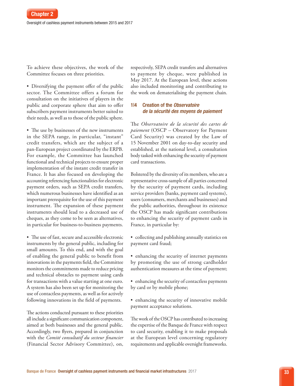To achieve these objectives, the work of the Committee focuses on three priorities.

• Diversifying the payment offer of the public sector. The Committee offers a forum for consultation on the initiatives of players in the public and corporate sphere that aim to offer subscribers payment instruments better suited to their needs, as well as to those of the public sphere.

• The use by businesses of the new instruments in the SEPA range, in particular, "instant" credit transfers, which are the subject of a pan-European project coordinated by the ERPB. For example, the Committee has launched functional and technical projects to ensure proper implementation of the instant credit transfer in France. It has also focused on developing the accounting referencing functionalities for electronic payment orders, such as SEPA credit transfers, which numerous businesses have identified as an important prerequisite for the use of this payment instrument. The expansion of these payment instruments should lead to a decreased use of cheques, as they come to be seen as alternatives, in particular for business-to-business payments.

• The use of fast, secure and accessible electronic instruments by the general public, including for small amounts. To this end, and with the goal of enabling the general public to benefit from innovations in the payments field, the Committee monitors the commitments made to reduce pricing and technical obstacles to payment using cards for transactions with a value starting at one euro. A system has also been set up for monitoring the use of contactless payments, as well as for actively following innovations in the field of payments.

The actions conducted pursuant to these priorities all include a significant communication component, aimed at both businesses and the general public. Accordingly, two flyers, prepared in conjunction with the *Comité consultatif du secteur financier* (Financial Sector Advisory Committee), on,

respectively, SEPA credit transfers and alternatives to payment by cheque, were published in May 2017. At the European level, these actions also included monitoring and contributing to the work on dematerialising the payment chain.

# 1|4 Creation of the *Observatoire de la sécurité des moyens de paiement*

The *Observatoire de la sécurité des cartes de paiement* (OSCP – Observatory for Payment Card Security) was created by the Law of 15 November 2001 on day-to-day security and established, at the national level, a consultation body tasked with enhancing the security of payment card transactions.

Bolstered by the diversity of its members, who are a representative cross-sample of all parties concerned by the security of payment cards, including service providers (banks, payment card systems), users (consumers, merchants and businesses) and the public authorities, throughout its existence the OSCP has made significant contributions to enhancing the security of payment cards in France, in particular by:

- collecting and publishing annually statistics on payment card fraud;
- enhancing the security of internet payments by promoting the use of strong cardholder authentication measures at the time of payment;
- enhancing the security of contactless payments by card or by mobile phone;
- enhancing the security of innovative mobile payment acceptance solutions.

The work of the OSCP has contributed to increasing the expertise of the Banque de France with respect to card security, enabling it to make proposals at the European level concerning regulatory requirements and applicable oversight frameworks.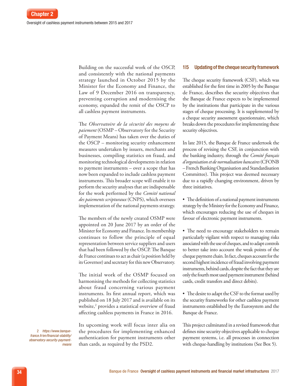Building on the successful work of the OSCP, and consistently with the national payments strategy launched in October 2015 by the Minister for the Economy and Finance, the Law of 9 December 2016 on transparency, preventing corruption and modernising the economy, expanded the remit of the OSCP to all cashless payment instruments.

The *Observatoire de la sécurité des moyens de paiement* (OSMP – Observatory for the Security of Payment Means) has taken over the duties of the OSCP – monitoring security enhancement measures undertaken by issuers, merchants and businesses, compiling statistics on fraud, and monitoring technological developments in relation to payment instruments – over a scope that has now been expanded to include cashless payment instruments. This broader scope will enable it to perform the security analyses that are indispensable for the work performed by the *Comité national des paiements scripturaux* (CNPS), which oversees implementation of the national payments strategy.

The members of the newly created OSMP were appointed on 20 June 2017 by an order of the Minister for Economy and Finance. Its membership continues to follow the principle of equal representation between service suppliers and users that had been followed by the OSCP. The Banque de France continues to act as chair (a position held by its Governor) and secretary for this new Observatory.

The initial work of the OSMP focused on harmonising the methods for collecting statistics about fraud concerning various payment instruments. Its first annual report, which was published on 18 July 2017 and is available on its website,<sup>2</sup> provides a statistical overview of fraud affecting cashless payments in France in 2016.

Its upcoming work will focus inter alia on the procedures for implementing enhanced authentication for payment instruments other than cards, as required by the PSD2.

#### 1|5 Updating of the cheque security framework

The cheque security framework (CSF), which was established for the first time in 2005 by the Banque de France, describes the security objectives that the Banque de France expects to be implemented by the institutions that participate in the various stages of cheque processing. It is supplemented by a cheque security assessment questionnaire, which breaks down the procedures for implementing these security objectives.

In late 2015, the Banque de France undertook the process of revising the CSF, in conjunction with the banking industry, through the *Comité français d'organisation et de normalisation bancaires* (CFONB – French Banking Organisation and Standardisation Committee). This project was deemed necessary due to a rapidly changing environment, driven by three initiatives.

• The definition of a national payment instruments strategy by the Ministry for the Economy and Finance, which encourages reducing the use of cheques in favour of electronic payment instruments.

- The need to encourage stakeholders to remain particularly vigilant with respect to managing risks associated with the use of cheques, and to adapt controls to better take into account the weak points of the cheque payment chain. In fact, cheques account for the second highest incidence of fraud involving payment instruments, behind cards, despite the fact that they are only the fourth most used payment instrument (behind cards, credit transfers and direct debits).
- The desire to adapt the CSF to the format used by the security frameworks for other cashless payment instruments established by the Eurosystem and the Banque de France.

This project culminated in a revised framework that defines nine security objectives applicable to cheque payment systems, i.e. all processes in connection with cheque-handling by institutions (See Box 5).

2 *[https://www.banque](https://www.banque-france.fr/en/financial-stability/observatory-security-payment-means
)[france.fr/en/financial-stability/](https://www.banque-france.fr/en/financial-stability/observatory-security-payment-means
) [observatory-security-payment](https://www.banque-france.fr/en/financial-stability/observatory-security-payment-means
)[means](https://www.banque-france.fr/en/financial-stability/observatory-security-payment-means
)*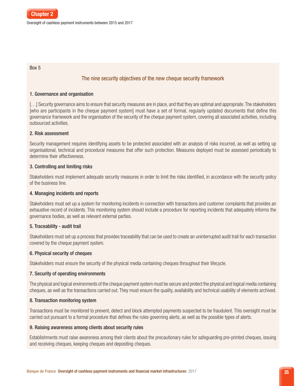Oversight of cashless payment instruments between 2015 and 2017

#### Box 5

# The nine security objectives of the new cheque security framework

# 1. Governance and organisation

[...] Security governance aims to ensure that security measures are in place, and that they are optimal and appropriate. The stakeholders [who are participants in the cheque payment system] must have a set of formal, regularly updated documents that define this governance framework and the organisation of the security of the cheque payment system, covering all associated activities, including outsourced activities.

# 2. Risk assessment

Security management requires identifying assets to be protected associated with an analysis of risks incurred, as well as setting up organisational, technical and procedural measures that offer such protection. Measures deployed must be assessed periodically to determine their effectiveness.

# 3. Controlling and limiting risks

Stakeholders must implement adequate security measures in order to limit the risks identified, in accordance with the security policy of the business line.

# 4. Managing incidents and reports

Stakeholders must set up a system for monitoring incidents in connection with transactions and customer complaints that provides an exhaustive record of incidents. This monitoring system should include a procedure for reporting incidents that adequately informs the governance bodies, as well as relevant external parties.

# 5. Traceability - audit trail

Stakeholders must set up a process that provides traceability that can be used to create an uninterrupted audit trail for each transaction covered by the cheque payment system.

# 6. Physical security of cheques

Stakeholders must ensure the security of the physical media containing cheques throughout their lifecycle.

# 7. Security of operating environments

The physical and logical environments of the cheque payment system must be secure and protect the physical and logical media containing cheques, as well as the transactions carried out. They must ensure the quality, availability and technical usability of elements archived.

# 8. Transaction monitoring system

Transactions must be monitored to prevent, detect and block attempted payments suspected to be fraudulent. This oversight must be carried out pursuant to a formal procedure that defines the rules governing alerts, as well as the possible types of alerts.

# 9. Raising awareness among clients about security rules

Establishments must raise awareness among their clients about the precautionary rules for safeguarding pre-printed cheques, issuing and receiving cheques, keeping cheques and depositing cheques.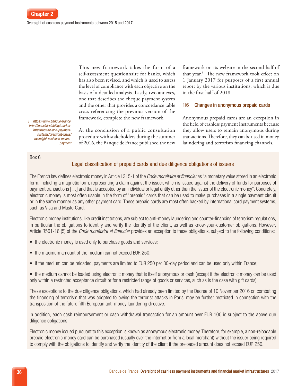This new framework takes the form of a self-assessment questionnaire for banks, which has also been revised, and which is used to assess the level of compliance with each objective on the basis of a detailed analysis. Lastly, two annexes, one that describes the cheque payment system and the other that provides a concordance table cross-referencing the previous version of the framework, complete the new framework.

At the conclusion of a public consultation procedure with stakeholders during the summer of 2016, the Banque de France published the new

3 *[https://](https://www.banque-france.fr/en/financial-stability/market-infrastructure-and-payment-systems/oversight-tasks/oversight-cashless-means-payment)www.banque-france. fr/en/financial-stability/marketinfrastructure-and-paymentsystems/oversight-tasks/ oversight-cashless-meanspayment*

#### Box 6

# Legal classification of prepaid cards and due diligence obligations of issuers

The French law defines electronic money in Article L315-1 of the *Code monétaire et financier* as "a monetary value stored in an electronic form, including a magnetic form, representing a claim against the issuer, which is issued against the delivery of funds for purposes of payment transactions […] and that is accepted by an individual or legal entity other than the issuer of the electronic money". Concretely, electronic money is most often usable in the form of "prepaid" cards that can be used to make purchases in a single payment circuit or in the same manner as any other payment card. These prepaid cards are most often backed by international card payment systems, such as Visa and MasterCard.

Electronic money institutions, like credit institutions, are subject to anti-money laundering and counter-financing of terrorism regulations, in particular the obligations to identify and verify the identity of the client, as well as know-your-customer obligations. However, Article R561-16 (5) of the *Code monétaire et financier* provides an exception to these obligations, subject to the following conditions:

- the electronic money is used only to purchase goods and services;
- the maximum amount of the medium cannot exceed EUR 250;
- if the medium can be reloaded, payments are limited to EUR 250 per 30-day period and can be used only within France;

• the medium cannot be loaded using electronic money that is itself anonymous or cash (except if the electronic money can be used only within a restricted acceptance circuit or for a restricted range of goods or services, such as is the case with gift cards).

These exceptions to the due diligence obligations, which had already been limited by the Decree of 10 November 2016 on combating the financing of terrorism that was adopted following the terrorist attacks in Paris, may be further restricted in connection with the transposition of the future fifth European anti-money laundering directive.

In addition, each cash reimbursement or cash withdrawal transaction for an amount over EUR 100 is subject to the above due diligence obligations.

Electronic money issued pursuant to this exception is known as anonymous electronic money. Therefore, for example, a non-reloadable prepaid electronic money card can be purchased (usually over the internet or from a local merchant) without the issuer being required to comply with the obligations to identify and verify the identity of the client if the preloaded amount does not exceed EUR 250.

framework on its website in the second half of that year.3 The new framework took effect on 1 January 2017 for purposes of a first annual report by the various institutions, which is due

1|6 Changes in anonymous prepaid cards

Anonymous prepaid cards are an exception in the field of cashless payment instruments because they allow users to remain anonymous during transactions. Therefore, they can be used in money laundering and terrorism financing channels.

in the first half of 2018.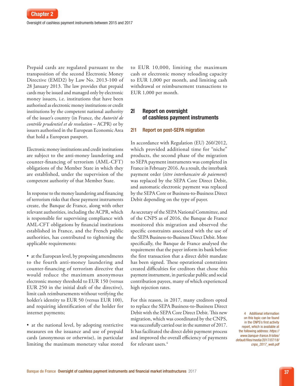Prepaid cards are regulated pursuant to the transposition of the second Electronic Money Directive (EMD2) by Law No. 2013-100 of 28 January 2013. The law provides that prepaid cards may be issued and managed only by electronic money issuers, i.e. institutions that have been authorised as electronic money institutions or credit institutions by the competent national authority of the issuer's country (in France, the *Autorité de contrôle prudentiel et de resolution* – ACPR) or by issuers authorised in the European Economic Area that hold a European passport.

Electronic money institutions and credit institutions are subject to the anti-money laundering and counter-financing of terrorism (AML-CFT) obligations of the Member State in which they are established, under the supervision of the competent authority of that Member State.

In response to the money laundering and financing of terrorism risks that these payment instruments create, the Banque de France, along with other relevant authorities, including the ACPR, which is responsible for supervising compliance with AML-CFT obligations by financial institutions established in France, and the French public authorities, has contributed to tightening the applicable requirements:

• at the European level, by proposing amendments to the fourth anti-money laundering and counter-financing of terrorism directive that would reduce the maximum anonymous electronic money threshold to EUR 150 (versus EUR 250 in the initial draft of the directive), limit cash reimbursements without verifying the holder's identity to EUR 50 (versus EUR 100), and requiring identification of the holder for internet payments;

• at the national level, by adopting restrictive measures on the issuance and use of prepaid cards (anonymous or otherwise), in particular limiting the maximum monetary value stored to EUR 10,000, limiting the maximum cash or electronic money reloading capacity to EUR 1,000 per month, and limiting cash withdrawal or reimbursement transactions to EUR 1,000 per month.

# 2| Report on oversight of cashless payment instruments

#### 2|1 Report on post-SEPA migration

In accordance with Regulation (EU) 260/2012, which provided additional time for "niche" products, the second phase of the migration to SEPA payment instruments was completed in France in February 2016. As a result, the interbank payment order (*titre interbancaire de paiement*) was replaced by the SEPA Core Direct Debit, and automatic electronic payment was replaced by the SEPA Core or Business-to-Business Direct Debit depending on the type of payer.

As secretary of the SEPA National Committee, and of the CNPS as of 2016, the Banque de France monitored this migration and observed the specific constraints associated with the use of the SEPA Business-to-Business Direct Debit. More specifically, the Banque de France analysed the requirement that the payer inform its bank before the first transaction that a direct debit mandate has been signed. These operational constraints created difficulties for creditors that chose this payment instrument, in particular public and social contribution payees, many of which experienced high rejection rates.

For this reason, in 2017, many creditors opted to replace the SEPA Business-to-Business Direct Debit with the SEPA Core Direct Debit. This new migration, which was coordinated by the CNPS, was successfully carried out in the summer of 2017. It has facilitated the direct debit payment process and improved the overall efficiency of payments for relevant users.<sup>4</sup>

4 Additional information on this topic can be found in the CNPS's first activity report, which is available at the following address: *[https://](https://www.banque-france.fr/sites/default/files/media/2017/07/18/cnps_2017_web.pdf) [www.banque-france.fr/sites/](https://www.banque-france.fr/sites/default/files/media/2017/07/18/cnps_2017_web.pdf) [default/files/media/2017/07/18/](https://www.banque-france.fr/sites/default/files/media/2017/07/18/cnps_2017_web.pdf) [cnps\\_2017\\_web.pdf](https://www.banque-france.fr/sites/default/files/media/2017/07/18/cnps_2017_web.pdf)*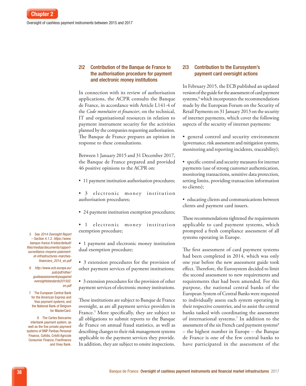# 2|2 Contribution of the Banque de France to the authorisation procedure for payment and electronic money institutions

In connection with its review of authorisation applications, the ACPR consults the Banque de France, in accordance with Article L141-4 of the *Code monétaire et financier*, on the technical, IT and organisational resources in relation to payment instrument security for the activities planned by the companies requesting authorisation. The Banque de France prepares an opinion in response to these consultations.

Between 1 January 2015 and 31 December 2017, the Banque de France prepared and provided 46 positive opinions to the ACPR on:

- 11 payment institution authorisation procedures;
- 3 electronic money institution authorisation procedures;
- 24 payment institution exemption procedures;
- 1 electronic money institution exemption procedure;

• 1 payment and electronic money institution dual exemption procedure;

• 3 extension procedures for the provision of other payment services of payment institutions;

• 3 extension procedures for the provision of other payment services of electronic money institutions.

These institutions are subject to Banque de France oversight, as are all payment service providers in France.<sup>5</sup> More specifically, they are subject to all obligations to submit reports to the Banque de France on annual fraud statistics, as well as describing changes to their risk management systems applicable to the payment services they provide. In addition, they are subject to onsite inspections.

# 2|3 Contribution to the Eurosystem's payment card oversight actions

In February 2015, the ECB published an updated version of the guide for the assessment of card payment systems,<sup>6</sup> which incorporates the recommendations made by the European Forum on the Security of Retail Payments on 31 January 2013 on the security of internet payments, which cover the following aspects of the security of internet payments:

• general control and security environment (governance, risk assessment and mitigation systems, monitoring and reporting incidents, traceability);

• specific control and security measures for internet payments (use of strong customer authentication, monitoring transactions, sensitive data protection, setting limits, providing transaction information to clients);

• educating clients and communications between clients and payment card issuers.

These recommendations tightened the requirements applicable to card payment systems, which prompted a fresh compliance assessment of all systems operating in Europe.

The first assessment of card payment systems had been completed in 2014, which was only one year before the new assessment guide took effect. Therefore, the Eurosystem decided to limit the second assessment to new requirements and requirements that had been amended. For this purpose, the national central banks of the European System of Central Banks were requested to individually assess each system operating in their respective countries, and to assist the central banks tasked with coordinating the assessment of international systems.7 In addition to the assessment of the six French card payment systems<sup>8</sup> – the highest number in Europe – the Banque de France is one of the few central banks to have participated in the assessment of the

5 See *2014 Oversight Report* – Section 4.1.2. *[https://www.](https://www.banque-france.fr/sites/default/files/medias/documents/rapport-surveillance-moyens-paiement-et-infrastructures-marches-financiers_2014_en.pdf 
) [banque-france.fr/sites/default/](https://www.banque-france.fr/sites/default/files/medias/documents/rapport-surveillance-moyens-paiement-et-infrastructures-marches-financiers_2014_en.pdf 
) [files/medias/documents/rapport](https://www.banque-france.fr/sites/default/files/medias/documents/rapport-surveillance-moyens-paiement-et-infrastructures-marches-financiers_2014_en.pdf 
)[surveillance-moyens-paiement](https://www.banque-france.fr/sites/default/files/medias/documents/rapport-surveillance-moyens-paiement-et-infrastructures-marches-financiers_2014_en.pdf 
)[et-infrastructures-marches](https://www.banque-france.fr/sites/default/files/medias/documents/rapport-surveillance-moyens-paiement-et-infrastructures-marches-financiers_2014_en.pdf 
)[financiers\\_2014\\_en.pdf](https://www.banque-france.fr/sites/default/files/medias/documents/rapport-surveillance-moyens-paiement-et-infrastructures-marches-financiers_2014_en.pdf 
)* 

6 *[http://www.ecb.europa.eu/](http://www.ecb.europa.eu/pub/pdf/other/guideassessmentcpsagainstoversightstandards201502.en.pdf) [pub/pdf/other/](http://www.ecb.europa.eu/pub/pdf/other/guideassessmentcpsagainstoversightstandards201502.en.pdf) [guideassessmentcpsagainst](http://www.ecb.europa.eu/pub/pdf/other/guideassessmentcpsagainstoversightstandards201502.en.pdf) [oversightstandards201502.](http://www.ecb.europa.eu/pub/pdf/other/guideassessmentcpsagainstoversightstandards201502.en.pdf) [en.pdf](http://www.ecb.europa.eu/pub/pdf/other/guideassessmentcpsagainstoversightstandards201502.en.pdf)*

7 The European Central Bank for the American Express and Visa payment systems, and the National Bank of Belgium for MasterCard.

8 The Cartes Bancaires interbank payment system, as well as the five private payment systems of BNP Paribas Personal Finance, Cofidis, Crédit Agricole Consumer Finance, Franfinance and Oney Bank.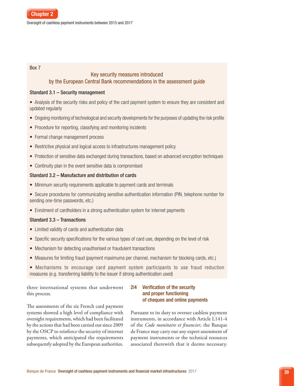#### Box 7

# Key security measures introduced by the European Central Bank recommendations in the assessment guide

#### Standard 3.1 – Security management

• Analysis of the security risks and policy of the card payment system to ensure they are consistent and updated regularly

- Ongoing monitoring of technological and security developments for the purposes of updating the risk profile
- Procedure for reporting, classifying and monitoring incidents
- Formal change management process
- Restrictive physical and logical access to infrastructures management policy
- Protection of sensitive data exchanged during transactions, based on advanced encryption techniques
- Continuity plan in the event sensitive data is compromised

#### Standard 3.2 – Manufacture and distribution of cards

- Minimum security requirements applicable to payment cards and terminals
- Secure procedures for communicating sensitive authentication information (PIN, telephone number for sending one-time passwords, etc.)
- Enrolment of cardholders in a strong authentication system for internet payments

# Standard 3.3 – Transactions

- Limited validity of cards and authentication data
- Specific security specifications for the various types of card use, depending on the level of risk
- Mechanism for detecting unauthorised or fraudulent transactions
- Measures for limiting fraud (payment maximums per channel, mechanism for blocking cards, etc.)
- Mechanisms to encourage card payment system participants to use fraud reduction measures (e.g. transferring liability to the issuer if strong authentication used)

three international systems that underwent this process.

# The assessments of the six French card payment systems showed a high level of compliance with oversight requirements, which had been facilitated by the actions that had been carried out since 2009 by the OSCP to reinforce the security of internet payments, which anticipated the requirements subsequently adopted by the European authorities.

# 2|4 Verification of the security and proper functioning of cheques and online payments

Pursuant to its duty to oversee cashless payment instruments, in accordance with Article L141-4 of the *Code monétaire et financier*, the Banque de France may carry out any expert assessment of payment instruments or the technical resources associated therewith that it deems necessary.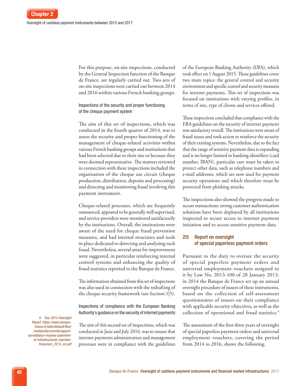For this purpose, on-site inspections, conducted by the General Inspection function of the Banque de France, are regularly carried out. Two sets of on-site inspections were carried out between 2014 and 2016 within various French banking groups.

Inspections of the security and proper functioning of the cheque payment system

The aim of this set of inspections, which was conducted in the fourth quarter of 2014, was to assess the security and proper functioning of the management of cheque-related activities within various French banking groups and institutions that had been selected due to their size or because they were deemed representative. The matters reviewed in connection with these inspections included the organisation of the cheque use circuit (cheque production, distribution, deposits and processing) and detecting and monitoring fraud involving this payment instrument.

Cheque-related processes, which are frequently outsourced, appeared to be generally well supervised, and service providers were monitored satisfactorily by the institutions. Overall, the institutions were aware of the need for cheque fraud prevention measures, and had internal structures and tools in place dedicated to detecting and analysing such fraud. Nevertheless, several areas for improvement were suggested, in particular reinforcing internal control systems and enhancing the quality of fraud statistics reported to the Banque de France.

The information obtained from this set of inspections was also used in connection with the redrafting of the cheque security framework (see Section 1|5).

Inspections of compliance with the European Banking Authority's guidance on the security of internet payments

9 See *2014 Oversight Report*: *[https://www.banque](https://www.banque-france.fr/sites/default/files/medias/documents/rapport-surveillance-moyens-paiement-et-infrastructures-marches-financiers_2014_en.pdf
)[france.fr/sites/default/files/](https://www.banque-france.fr/sites/default/files/medias/documents/rapport-surveillance-moyens-paiement-et-infrastructures-marches-financiers_2014_en.pdf
) [medias/documents/rapport](https://www.banque-france.fr/sites/default/files/medias/documents/rapport-surveillance-moyens-paiement-et-infrastructures-marches-financiers_2014_en.pdf
)[surveillance-moyens-paiement](https://www.banque-france.fr/sites/default/files/medias/documents/rapport-surveillance-moyens-paiement-et-infrastructures-marches-financiers_2014_en.pdf
)[et-infrastructures-marches](https://www.banque-france.fr/sites/default/files/medias/documents/rapport-surveillance-moyens-paiement-et-infrastructures-marches-financiers_2014_en.pdf
)[financiers\\_2014\\_en.pdf](https://www.banque-france.fr/sites/default/files/medias/documents/rapport-surveillance-moyens-paiement-et-infrastructures-marches-financiers_2014_en.pdf
)*

The aim of this second set of inspections, which was conducted in June and July 2016, was to ensure that internet payments administration and management processes were in compliance with the guidelines of the European Banking Authority (EBA), which took effect on 1 August 2015. These guidelines cover two main topics: the general control and security environment and specific control and security measures for internet payments. This set of inspections was focused on institutions with varying profiles, in terms of size, type of clients and services offered.

These inspections concluded that compliance with the EBA guidelines on the security of internet payment was satisfactory overall. The institutions were aware of fraud issues and took action to reinforce the security of their existing systems. Nevertheless, due to the fact that the range of sensitive payment data is expanding and is no longer limited to banking identifiers (card number, IBAN), particular care must be taken to protect other data, such as telephone numbers and e-mail addresses, which are now used for payment security operations and which therefore must be protected from phishing attacks.

The inspections also showed the progress made to secure transactions: strong customer authentication solutions have been deployed by all institutions inspected to secure access to internet payment initiation and to access sensitive payment data.

# 2|5 Report on oversight of special paperless payment orders

Pursuant to the duty to oversee the security of special paperless payment orders and universal employment vouchers assigned to it by Law No. 2013-100 of 28 January 2013, in 2014 the Banque de France set up an annual oversight procedure of issuers of these instruments, based on the collection of self-assessment questionnaires of issuers on their compliance with applicable security objectives, as well as the collection of operational and fraud statistics.<sup>9</sup>

The assessment of the first three years of oversight of special paperless payment orders and universal employment vouchers, covering the period from 2014 to 2016, shows the following.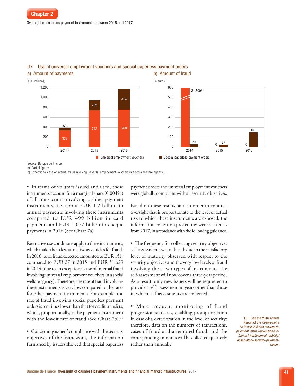

# G7 Use of universal employment vouchers and special paperless payment orders a) Amount of payments b) Amount of fraud

Source: Banque de France.

a) Partial figures.

b) Exceptional case of internal fraud involving universal employment vouchers in a social welfare agency.

• In terms of volumes issued and used, these instruments account for a marginal share (0.004%) of all transactions involving cashless payment instruments, i.e. about EUR 1.2 billion in annual payments involving these instruments compared to EUR 499 billion in card payments and EUR 1,077 billion in cheque payments in 2016 (See Chart 7a).

Restrictive use conditions apply to these instruments, which make them less attractive as vehicles for fraud. In 2016, total fraud detected amounted to EUR 151, compared to EUR 27 in 2015 and EUR 31,629 in 2014 (due to an exceptional case of internal fraud involving universal employment vouchers in a social welfare agency). Therefore, the rate of fraud involving these instruments is very low compared to the rates for other payment instruments. For example, the rate of fraud involving special paperless payment orders is ten times lower than that for credit transfers, which, proportionally, is the payment instrument with the lowest rate of fraud (See Chart 7b).<sup>10</sup>

• Concerning issuers' compliance with the security objectives of the framework, the information furnished by issuers showed that special paperless

payment orders and universal employment vouchers were globally compliant with all security objectives.

Based on these results, and in order to conduct oversight that is proportionate to the level of actual risk to which these instruments are exposed, the information collection procedures were relaxed as from 2017, in accordance with the following guidance.

• The frequency for collecting security objectives self-assessments was reduced: due to the satisfactory level of maturity observed with respect to the security objectives and the very low levels of fraud involving these two types of instruments, the self-assessment will now cover a three-year period. As a result, only new issuers will be requested to provide a self-assessment in years other than those in which self-assessments are collected.

• More frequent monitoring of fraud progression statistics, enabling prompt reaction in case of a deterioration in the level of security: therefore, data on the numbers of transactions, cases of fraud and attempted fraud, and the corresponding amounts will be collected quarterly rather than annually.

10 See the 2016 Annual Report of the *Observatoire de la sécurité des moyens de paiement*: *[https://www.banque](https://www.banque-france.fr/en/financial-stability/observatory-security-payment-means)[france.fr/en/financial-stability/](https://www.banque-france.fr/en/financial-stability/observatory-security-payment-means) [observatory-security-payment](https://www.banque-france.fr/en/financial-stability/observatory-security-payment-means)[means](https://www.banque-france.fr/en/financial-stability/observatory-security-payment-means)*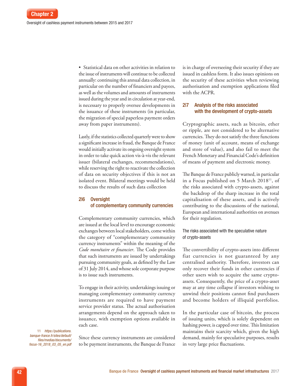• Statistical data on other activities in relation to the issue of instruments will continue to be collected annually: continuing this annual data collection, in particular on the number of financiers and payees, as well as the volumes and amounts of instruments issued during the year and in circulation at year-end, is necessary to properly oversee developments in the issuance of these instruments (in particular, the migration of special paperless payment orders away from paper instruments).

Lastly, if the statistics collected quarterly were to show a significant increase in fraud, the Banque de France would initially activate its ongoing oversight system in order to take quick action vis-à-vis the relevant issuer (bilateral exchanges, recommendations), while reserving the right to reactivate the collection of data on security objectives if this is not an isolated event. Bilateral meetings would be held to discuss the results of such data collection

#### 2|6 Oversight of complementary community currencies

Complementary community currencies, which are issued at the local level to encourage economic exchanges between local stakeholders, come within the category of "complementary community currency instruments" within the meaning of the *Code monétaire et financier*. The Code provides that such instruments are issued by undertakings pursuing community goals, as defined by the Law of 31 July 2014, and whose sole corporate purpose is to issue such instruments.

To engage in their activity, undertakings issuing or managing complementary community currency instruments are required to have payment service provider status. The actual authorisation arrangements depend on the approach taken to issuance, with exemption options available in each case.

11 *[https://publications.](https://publications.banque-france.fr/sites/default/files/medias/documents/focus-16_2018_03_05_en.pdf 
) [banque-france.fr/sites/default/](https://publications.banque-france.fr/sites/default/files/medias/documents/focus-16_2018_03_05_en.pdf 
) [files/medias/documents/](https://publications.banque-france.fr/sites/default/files/medias/documents/focus-16_2018_03_05_en.pdf 
) [focus-16\\_2018\\_03\\_05\\_en.pdf](https://publications.banque-france.fr/sites/default/files/medias/documents/focus-16_2018_03_05_en.pdf 
)* 

Since these currency instruments are considered to be payment instruments, the Banque de France is in charge of overseeing their security if they are issued in cashless form. It also issues opinions on the security of these activities when reviewing authorisation and exemption applications filed with the ACPR.

# 2|7 Analysis of the risks associated with the development of crypto-assets

Cryptographic assets, such as bitcoin, ether or ripple, are not considered to be alternative currencies. They do not satisfy the three functions of money (unit of account, means of exchange and store of value), and also fail to meet the French Monetary and Financial Code's definition of means of payment and electronic money.

The Banque de France publicly warned, in particular in a Focus published on 5 March 2018<sup>11</sup>, of the risks associated with crypto-assets, against the backdrop of the sharp increase in the total capitalisation of these assets, and is actively contributing to the discussions of the national, European and international authorities on avenues for their regulation.

#### The risks associated with the speculative nature of crypto-assets

The convertibility of crypto-assets into different fiat currencies is not guaranteed by any centralised authority. Therefore, investors can only recover their funds in other currencies if other users wish to acquire the same cryptoassets. Consequently, the price of a crypto-asset may at any time collapse if investors wishing to unwind their positions cannot find purchasers and become holders of illiquid portfolios.

In the particular case of bitcoin, the process of issuing units, which is solely dependent on hashing power, is capped over time. This limitation maintains their scarcity which, given the high demand, mainly for speculative purposes, results in very large price fluctuations.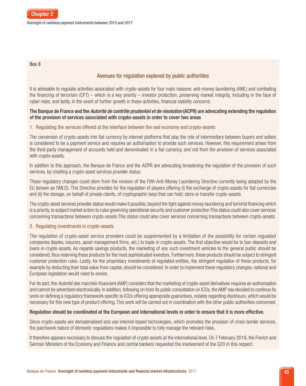

Oversight of cashless payment instruments between 2015 and 2017

#### Box 8

# Avenues for regulation explored by public authorities

It is advisable to regulate activities associated with crypto-assets for four main reasons: anti-money laundering (AML) and combating the financing of terrorism (CFT) – which is a key priority – investor protection, preserving market integrity, including in the face of cyber-risks, and lastly, in the event of further growth in these activities, financial stability concerns.

# The Banque de France and the *Autorité de contrôle prudentiel et de résolution* (ACPR) are advocating extending the regulation of the provision of services associated with crypto-assets in order to cover two areas

# 1. Regulating the services offered at the interface between the real economy and crypto-assets

The conversion of crypto-assets into fiat currency by internet platforms that play the role of intermediary between buyers and sellers is considered to be a payment service and requires an authorisation to provide such services. However, this requirement arises from the third-party management of accounts held and denominated in a fiat currency, and not from the provision of services associated with crypto-assets.

In addition to this approach, the Banque de France and the ACPR are advocating broadening the regulation of the provision of such services, by creating a crypto-asset services provider status.

These regulatory changes could stem from the revision of the Fifth Anti-Money Laundering Directive currently being adopted by the EU (known as 5MLD). This Directive provides for the regulation of players offering (i) the exchange of crypto-assets for fiat currencies and (ii) the storage, on behalf of private clients, of cryptographic keys that can hold, store or transfer crypto-assets.

The crypto-asset services provider status would make it possible, beyond the fight against money laundering and terrorist financing which is a priority, to subject market actors to rules governing operational security and customer protection This status could also cover services concerning transactions between crypto-assets This status could also cover services concerning transactions between crypto-assets.

# 2. Regulating investments in crypto-assets

The regulation of crypto-asset service providers could be supplemented by a limitation of the possibility for certain regulated companies (banks, insurers, asset management firms, etc.) to trade in crypto-assets. The first objective would be to ban deposits and loans in crypto-assets. As regards savings products, the marketing of any such investment vehicles to the general public should be considered, thus reserving these products for the most sophisticated investors. Furthermore, these products should be subject to stringent customer protection rules. Lastly, for the proprietary investments of regulated entities, the stringent regulation of these products, for example by deducting their total value from capital, should be considered. In order to implement these regulatory changes, national and European legislation would need to evolve.

For its part, the *Autorité des marchés financiers* (AMF) considers that the marketing of crypto-asset derivatives requires an authorisation and cannot be advertised electronically. In addition, following on from its public consultation on ICOs, the AMF has decided to continue its work on defining a regulatory framework specific to ICOs offering appropriate guarantees, notably regarding disclosure, which would be necessary for this new type of product offering. This work will be carried out in coordination with the other public authorities concerned.

# Regulation should be coordinated at the European and international levels in order to ensure that it is more effective.

Since crypto-assets are dematerialised and use internet-based technologies, which promotes the provision of cross-border services, the patchwork nature of domestic regulations makes it impossible to fully manage the relevant risks.

It therefore appears necessary to discuss the regulation of crypto-assets at the international level. On 7 February 2018, the French and German Ministers of the Economy and Finance and central bankers requested the involvement of the G20 in this respect.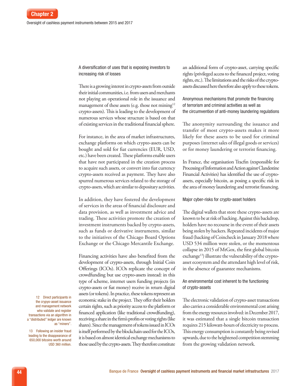A diversification of uses that is exposing investors to increasing risk of losses

There is a growing interest in crypto-assets from outside their initial communities, i.e. from users and merchants not playing an operational role in the issuance and management of these assets (e.g. those not mining<sup>12</sup> crypto-assets). This is leading to the development of numerous services whose structure is based on that of existing services in the traditional financial sphere.

For instance, in the area of market infrastructures, exchange platforms on which crypto-assets can be bought and sold for fiat currencies (EUR, USD, etc.) have been created. These platforms enable users that have not participated in the creation process to acquire such assets, or convert into fiat currency crypto-assets received as payment. They have also spurred numerous services related to the storage of crypto-assets, which are similar to depositary activities.

In addition, they have fostered the development of services in the areas of financial disclosure and data provision, as well as investment advice and trading. These activities promote the creation of investment instruments backed by crypto-assets, such as funds or derivative instruments, similar to the initiatives of the Chicago Board Options Exchange or the Chicago Mercantile Exchange.

Financing activities have also benefited from the development of crypto-assets, through Initial Coin Offerings (ICOs). ICOs replicate the concept of crowdfunding but use crypto-assets instead: in this type of scheme, internet users funding projects (in crypto-assets or fiat money) receive in return digital assets (or tokens). In practice, these tokens represent an economic stake in the project. They offer their holders certain rights, such as priority access to the platform or financed application (like traditional crowdfunding), receiving a share in the firm's profits or voting rights (like shares). Since the management of tokens issued in ICOs is itself performed by the blockchain used for the ICOs, it is based on almost identical exchange mechanisms to those used by the crypto-assets. They therefore constitute an additional form of crypto-asset, carrying specific rights (privileged access to the financed project, voting rights, etc.). The limitations and the risks of the cryptoassets discussed here therefore also apply to these tokens.

Anonymous mechanisms that promote the financing of terrorism and criminal activities as well as the circumvention of anti-money laundering regulations

The anonymity surrounding the issuance and transfer of most crypto-assets makes it more likely for these assets to be used for criminal purposes (internet sales of illegal goods or services) or for money laundering or terrorist financing.

In France, the organisation Tracfin (responsible for Processing of Information and Action against Clandestine Financial Activities) has identified the use of cryptoassets, especially bitcoin, as posing a specific risk in the area of money laundering and terrorist financing.

#### Major cyber-risks for crypto-asset holders

The digital wallets that store these crypto-assets are known to be at risk of hacking. Against this backdrop, holders have no recourse in the event of their assets being stolen by hackers. Repeated incidents of major fraud (hacking of Coincheck in January 2018 where USD 534 million were stolen, or the momentous collapse in 2015 of MtGox, the first global bitcoin exchange<sup>13</sup>) illustrate the vulnerability of the cryptoasset ecosystem and the attendant high level of risk, in the absence of guarantee mechanisms.

#### An environmental cost inherent to the functioning of crypto-assets

The electronic validation of crypto-asset transactions also carries a considerable environmental cost arising from the energy resources involved: in December 2017, it was estimated that a single bitcoin transaction requires 215 kilowatt-hours of electricity to process. This energy consumption is constantly being revised upwards, due to the heightened competition stemming from the growing validation network.

12 Direct participants in the crypyo-asset issuance and management network who validate and register transactions via an algorithm in a "distributed" ledger are known as "miners".

13 Following an insider fraud leading to the disappearance of 650,000 bitcoins worth around USD 360 million.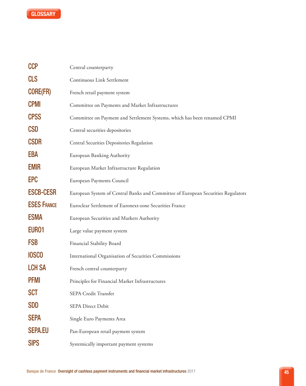

| CCP                | Central counterparty                                                             |
|--------------------|----------------------------------------------------------------------------------|
| <b>CLS</b>         | Continuous Link Settlement                                                       |
| <b>CORE(FR)</b>    | French retail payment system                                                     |
| <b>CPMI</b>        | Committee on Payments and Market Infrastructures                                 |
| <b>CPSS</b>        | Committee on Payment and Settlement Systems, which has been renamed CPMI         |
| <b>CSD</b>         | Central securities depositories                                                  |
| <b>CSDR</b>        | Central Securities Depositories Regulation                                       |
| EBA                | European Banking Authority                                                       |
| <b>EMIR</b>        | European Market Infrastructure Regulation                                        |
| <b>EPC</b>         | European Payments Council                                                        |
| <b>ESCB-CESR</b>   | European System of Central Banks and Committee of European Securities Regulators |
| <b>ESES FRANCE</b> | Euroclear Settlement of Euronext-zone Securities France                          |
| <b>ESMA</b>        | European Securities and Markets Authority                                        |
| EUR <sub>01</sub>  | Large value payment system                                                       |
| <b>FSB</b>         | Financial Stability Board                                                        |
| <b>IOSCO</b>       | International Organisation of Securities Commissions                             |
| <b>LCH SA</b>      | French central counterparty                                                      |
| <b>PFMI</b>        | Principles for Financial Market Infrastructures                                  |
| <b>SCT</b>         | <b>SEPA Credit Transfer</b>                                                      |
| <b>SDD</b>         | <b>SEPA Direct Debit</b>                                                         |
| <b>SEPA</b>        | Single Euro Payments Area                                                        |
| <b>SEPA.EU</b>     | Pan-European retail payment system                                               |
| <b>SIPS</b>        | Systemically important payment systems                                           |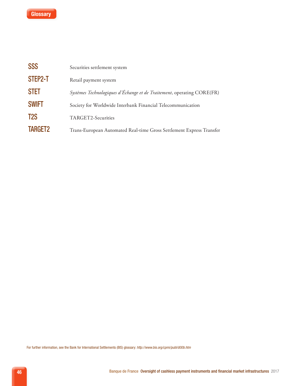

| <b>SSS</b>       | Securities settlement system                                           |
|------------------|------------------------------------------------------------------------|
| STEP2-T          | Retail payment system                                                  |
| <b>STET</b>      | Systèmes Technologiques d'Échange et de Traitement, operating CORE(FR) |
| <b>SWIFT</b>     | Society for Worldwide Interbank Financial Telecommunication            |
| T <sub>2</sub> S | TARGET2-Securities                                                     |
| <b>TARGET2</b>   | Trans-European Automated Real-time Gross Settlement Express Transfer   |

For further information, see the Bank for International Settlements (BIS) glossary: *<http://www.bis.org/cpmi/publ/d00b.htm>*